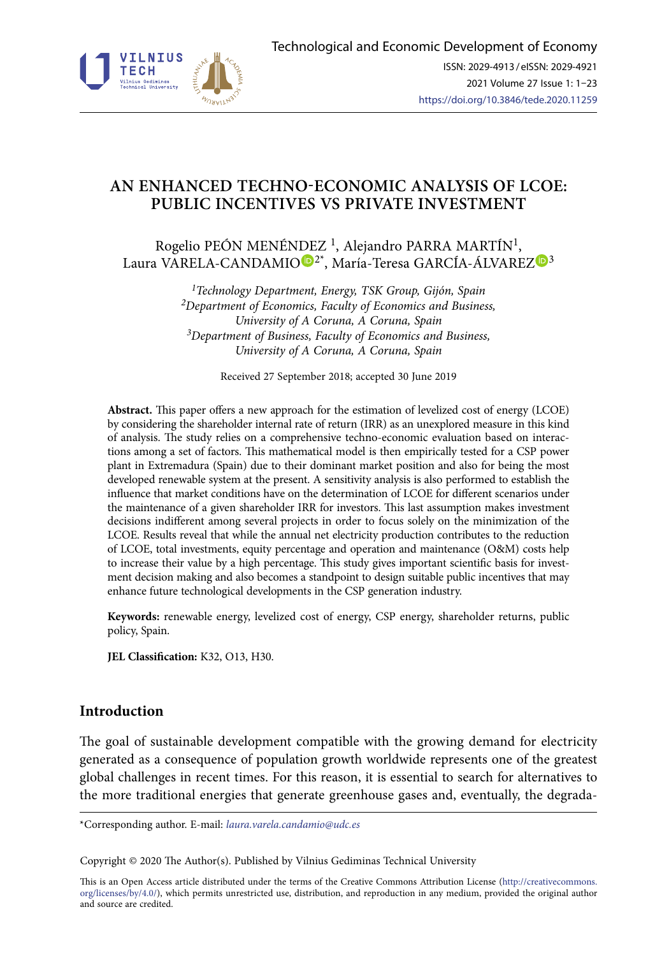

# **AN ENHANCED TECHNO-ECONOMIC ANALYSIS OF LCOE: PUBLIC INCENTIVES VS PRIVATE INVESTMENT**

Rogelio PEÓN MENÉN[DE](https://orcid.org/0000-0001-9321-3280)Z<sup>1</sup>, Alejandro PARRA MARTÍN<sup>1</sup>, Laura VARELA-CANDAMIO $\mathbb{D}^{2^*}$ , María-Teresa GARCÍA-ÁLVAREZ $\mathbb{D}^3$  $\mathbb{D}^3$ 

> *1Technology Department, Energy, TSK Group, Gijón, Spain 2Department of Economics, Faculty of Economics and Business, University of A Coruna, A Coruna, Spain 3Department of Business, Faculty of Economics and Business, University of A Coruna, A Coruna, Spain*

> > Received 27 September 2018; accepted 30 June 2019

**Abstract.** This paper offers a new approach for the estimation of levelized cost of energy (LCOE) by considering the shareholder internal rate of return (IRR) as an unexplored measure in this kind of analysis. The study relies on a comprehensive techno-economic evaluation based on interactions among a set of factors. This mathematical model is then empirically tested for a CSP power plant in Extremadura (Spain) due to their dominant market position and also for being the most developed renewable system at the present. A sensitivity analysis is also performed to establish the influence that market conditions have on the determination of LCOE for different scenarios under the maintenance of a given shareholder IRR for investors. This last assumption makes investment decisions indifferent among several projects in order to focus solely on the minimization of the LCOE. Results reveal that while the annual net electricity production contributes to the reduction of LCOE, total investments, equity percentage and operation and maintenance (O&M) costs help to increase their value by a high percentage. This study gives important scientific basis for investment decision making and also becomes a standpoint to design suitable public incentives that may enhance future technological developments in the CSP generation industry.

**Keywords:** renewable energy, levelized cost of energy, CSP energy, shareholder returns, public policy, Spain.

**JEL Classification:** K32, O13, H30.

### **Introduction**

The goal of sustainable development compatible with the growing demand for electricity generated as a consequence of population growth worldwide represents one of the greatest global challenges in recent times. For this reason, it is essential to search for alternatives to the more traditional energies that generate greenhouse gases and, eventually, the degrada-

\*Corresponding author. E-mail: *laura.varela.candamio@udc.es*

Copyright © 2020 The Author(s). Published by Vilnius Gediminas Technical University

This is an Open Access article distributed under the terms of the Creative Commons Attribution License ([http://creativecommons.](http://dx.doi.org/10.1016/S0377-2217(03)00091-2) [org/licenses/by/4.0/\)](http://dx.doi.org/10.1016/S0377-2217(03)00091-2), which permits unrestricted use, distribution, and reproduction in any medium, provided the original author and source are credited.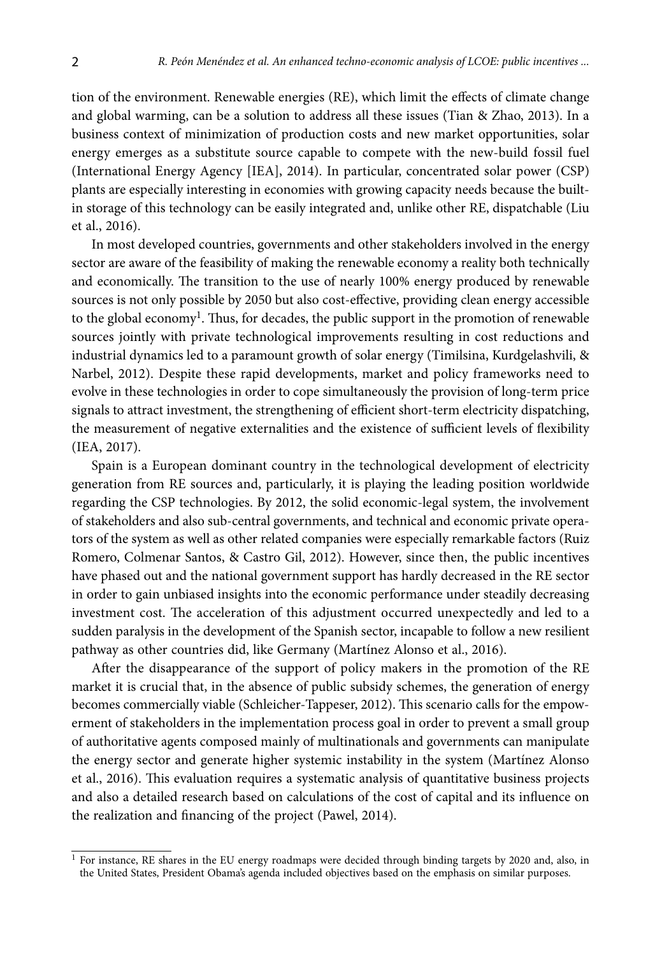tion of the environment. Renewable energies (RE), which limit the effects of climate change and global warming, can be a solution to address all these issues (Tian & Zhao, 2013). In a business context of minimization of production costs and new market opportunities, solar energy emerges as a substitute source capable to compete with the new-build fossil fuel (International Energy Agency [IEA], 2014). In particular, concentrated solar power (CSP) plants are especially interesting in economies with growing capacity needs because the builtin storage of this technology can be easily integrated and, unlike other RE, dispatchable (Liu et al., 2016).

In most developed countries, governments and other stakeholders involved in the energy sector are aware of the feasibility of making the renewable economy a reality both technically and economically. The transition to the use of nearly 100% energy produced by renewable sources is not only possible by 2050 but also cost-effective, providing clean energy accessible to the global economy<sup>1</sup>. Thus, for decades, the public support in the promotion of renewable sources jointly with private technological improvements resulting in cost reductions and industrial dynamics led to a paramount growth of solar energy (Timilsina, Kurdgelashvili, & Narbel, 2012). Despite these rapid developments, market and policy frameworks need to evolve in these technologies in order to cope simultaneously the provision of long-term price signals to attract investment, the strengthening of efficient short-term electricity dispatching, the measurement of negative externalities and the existence of sufficient levels of flexibility (IEA, 2017).

Spain is a European dominant country in the technological development of electricity generation from RE sources and, particularly, it is playing the leading position worldwide regarding the CSP technologies. By 2012, the solid economic-legal system, the involvement of stakeholders and also sub-central governments, and technical and economic private operators of the system as well as other related companies were especially remarkable factors (Ruiz Romero, Colmenar Santos, & Castro Gil, 2012). However, since then, the public incentives have phased out and the national government support has hardly decreased in the RE sector in order to gain unbiased insights into the economic performance under steadily decreasing investment cost. The acceleration of this adjustment occurred unexpectedly and led to a sudden paralysis in the development of the Spanish sector, incapable to follow a new resilient pathway as other countries did, like Germany (Martínez Alonso et al., 2016).

After the disappearance of the support of policy makers in the promotion of the RE market it is crucial that, in the absence of public subsidy schemes, the generation of energy becomes commercially viable (Schleicher-Tappeser, 2012). This scenario calls for the empowerment of stakeholders in the implementation process goal in order to prevent a small group of authoritative agents composed mainly of multinationals and governments can manipulate the energy sector and generate higher systemic instability in the system (Martínez Alonso et al., 2016). This evaluation requires a systematic analysis of quantitative business projects and also a detailed research based on calculations of the cost of capital and its influence on the realization and financing of the project (Pawel, 2014).

<sup>&</sup>lt;sup>1</sup> For instance, RE shares in the EU energy roadmaps were decided through binding targets by 2020 and, also, in the United States, President Obama's agenda included objectives based on the emphasis on similar purposes.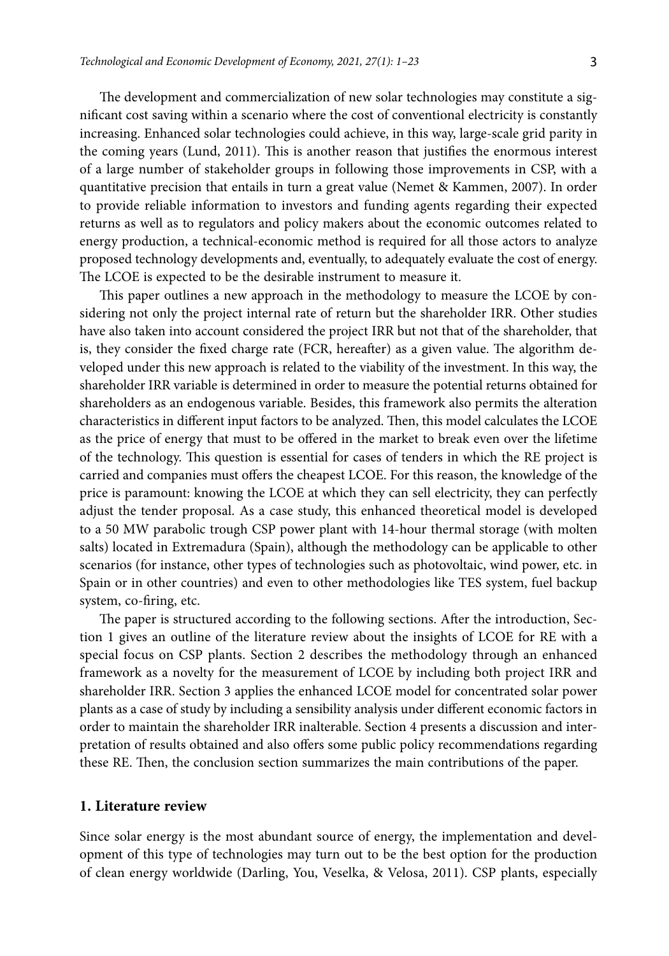The development and commercialization of new solar technologies may constitute a significant cost saving within a scenario where the cost of conventional electricity is constantly increasing. Enhanced solar technologies could achieve, in this way, large-scale grid parity in the coming years (Lund, 2011). This is another reason that justifies the enormous interest of a large number of stakeholder groups in following those improvements in CSP, with a quantitative precision that entails in turn a great value (Nemet & Kammen, 2007). In order to provide reliable information to investors and funding agents regarding their expected returns as well as to regulators and policy makers about the economic outcomes related to energy production, a technical-economic method is required for all those actors to analyze proposed technology developments and, eventually, to adequately evaluate the cost of energy. The LCOE is expected to be the desirable instrument to measure it.

This paper outlines a new approach in the methodology to measure the LCOE by considering not only the project internal rate of return but the shareholder IRR. Other studies have also taken into account considered the project IRR but not that of the shareholder, that is, they consider the fixed charge rate (FCR, hereafter) as a given value. The algorithm developed under this new approach is related to the viability of the investment. In this way, the shareholder IRR variable is determined in order to measure the potential returns obtained for shareholders as an endogenous variable. Besides, this framework also permits the alteration characteristics in different input factors to be analyzed. Then, this model calculates the LCOE as the price of energy that must to be offered in the market to break even over the lifetime of the technology. This question is essential for cases of tenders in which the RE project is carried and companies must offers the cheapest LCOE. For this reason, the knowledge of the price is paramount: knowing the LCOE at which they can sell electricity, they can perfectly adjust the tender proposal. As a case study, this enhanced theoretical model is developed to a 50 MW parabolic trough CSP power plant with 14-hour thermal storage (with molten salts) located in Extremadura (Spain), although the methodology can be applicable to other scenarios (for instance, other types of technologies such as photovoltaic, wind power, etc. in Spain or in other countries) and even to other methodologies like TES system, fuel backup system, co-firing, etc.

The paper is structured according to the following sections. After the introduction, Section 1 gives an outline of the literature review about the insights of LCOE for RE with a special focus on CSP plants. Section 2 describes the methodology through an enhanced framework as a novelty for the measurement of LCOE by including both project IRR and shareholder IRR. Section 3 applies the enhanced LCOE model for concentrated solar power plants as a case of study by including a sensibility analysis under different economic factors in order to maintain the shareholder IRR inalterable. Section 4 presents a discussion and interpretation of results obtained and also offers some public policy recommendations regarding these RE. Then, the conclusion section summarizes the main contributions of the paper.

#### **1. Literature review**

Since solar energy is the most abundant source of energy, the implementation and development of this type of technologies may turn out to be the best option for the production of clean energy worldwide (Darling, You, Veselka, & Velosa, 2011). CSP plants, especially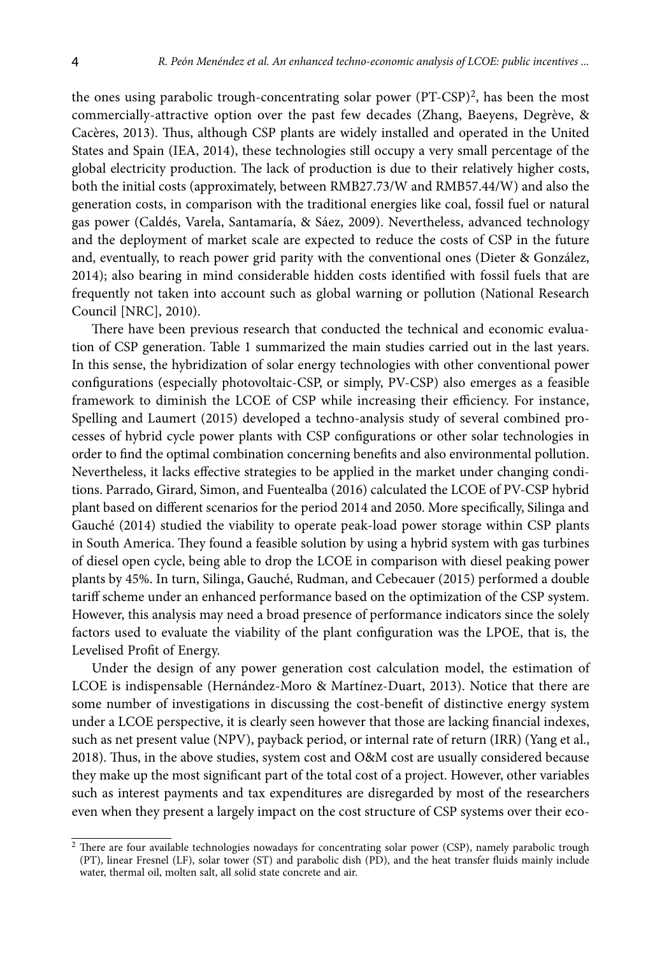the ones using parabolic trough-concentrating solar power (PT-CSP)2, has been the most commercially-attractive option over the past few decades (Zhang, Baeyens, Degrève, & Cacères, 2013). Thus, although CSP plants are widely installed and operated in the United States and Spain (IEA, 2014), these technologies still occupy a very small percentage of the global electricity production. The lack of production is due to their relatively higher costs, both the initial costs (approximately, between RMB27.73/W and RMB57.44/W) and also the generation costs, in comparison with the traditional energies like coal, fossil fuel or natural gas power (Caldés, Varela, Santamaría, & Sáez, 2009). Nevertheless, advanced technology and the deployment of market scale are expected to reduce the costs of CSP in the future and, eventually, to reach power grid parity with the conventional ones (Dieter & González, 2014); also bearing in mind considerable hidden costs identified with fossil fuels that are frequently not taken into account such as global warning or pollution (National Research Council [NRC], 2010).

There have been previous research that conducted the technical and economic evaluation of CSP generation. Table 1 summarized the main studies carried out in the last years. In this sense, the hybridization of solar energy technologies with other conventional power configurations (especially photovoltaic-CSP, or simply, PV-CSP) also emerges as a feasible framework to diminish the LCOE of CSP while increasing their efficiency. For instance, Spelling and Laumert (2015) developed a techno-analysis study of several combined processes of hybrid cycle power plants with CSP configurations or other solar technologies in order to find the optimal combination concerning benefits and also environmental pollution. Nevertheless, it lacks effective strategies to be applied in the market under changing conditions. Parrado, Girard, Simon, and Fuentealba (2016) calculated the LCOE of PV-CSP hybrid plant based on different scenarios for the period 2014 and 2050. More specifically, Silinga and Gauché (2014) studied the viability to operate peak-load power storage within CSP plants in South America. They found a feasible solution by using a hybrid system with gas turbines of diesel open cycle, being able to drop the LCOE in comparison with diesel peaking power plants by 45%. In turn, Silinga, Gauché, Rudman, and Cebecauer (2015) performed a double tariff scheme under an enhanced performance based on the optimization of the CSP system. However, this analysis may need a broad presence of performance indicators since the solely factors used to evaluate the viability of the plant configuration was the LPOE, that is, the Levelised Profit of Energy.

Under the design of any power generation cost calculation model, the estimation of LCOE is indispensable (Hernández-Moro & Martínez-Duart, 2013). Notice that there are some number of investigations in discussing the cost-benefit of distinctive energy system under a LCOE perspective, it is clearly seen however that those are lacking financial indexes, such as net present value (NPV), payback period, or internal rate of return (IRR) (Yang et al., 2018). Thus, in the above studies, system cost and O&M cost are usually considered because they make up the most significant part of the total cost of a project. However, other variables such as interest payments and tax expenditures are disregarded by most of the researchers even when they present a largely impact on the cost structure of CSP systems over their eco-

<sup>&</sup>lt;sup>2</sup> There are four available technologies nowadays for concentrating solar power (CSP), namely parabolic trough (PT), linear Fresnel (LF), solar tower (ST) and parabolic dish (PD), and the heat transfer fluids mainly include water, thermal oil, molten salt, all solid state concrete and air.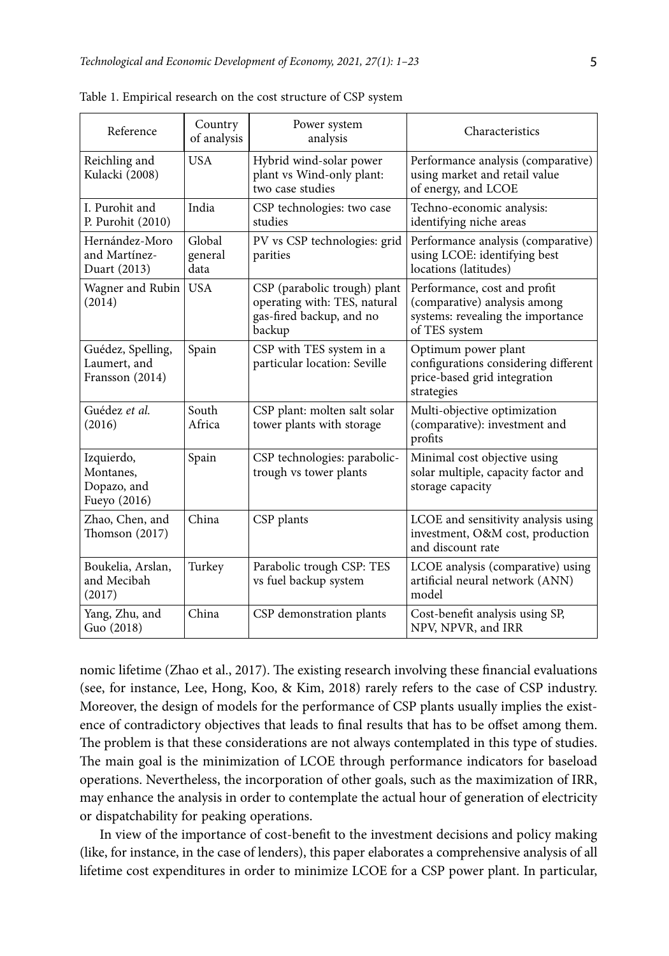| Reference                                              | Country<br>of analysis    | Power system<br>analysis                                                                           | Characteristics                                                                                                    |
|--------------------------------------------------------|---------------------------|----------------------------------------------------------------------------------------------------|--------------------------------------------------------------------------------------------------------------------|
| Reichling and<br>Kulacki (2008)                        | <b>USA</b>                | Hybrid wind-solar power<br>plant vs Wind-only plant:<br>two case studies                           | Performance analysis (comparative)<br>using market and retail value<br>of energy, and LCOE                         |
| I. Purohit and<br>P. Purohit (2010)                    | India                     | CSP technologies: two case<br>studies                                                              | Techno-economic analysis:<br>identifying niche areas                                                               |
| Hernández-Moro<br>and Martínez-<br>Duart (2013)        | Global<br>general<br>data | PV vs CSP technologies: grid<br>parities                                                           | Performance analysis (comparative)<br>using LCOE: identifying best<br>locations (latitudes)                        |
| Wagner and Rubin<br>(2014)                             | <b>USA</b>                | CSP (parabolic trough) plant<br>operating with: TES, natural<br>gas-fired backup, and no<br>backup | Performance, cost and profit<br>(comparative) analysis among<br>systems: revealing the importance<br>of TES system |
| Guédez, Spelling,<br>Laumert, and<br>Fransson (2014)   | Spain                     | CSP with TES system in a<br>particular location: Seville                                           | Optimum power plant<br>configurations considering different<br>price-based grid integration<br>strategies          |
| Guédez et al.<br>(2016)                                | South<br>Africa           | CSP plant: molten salt solar<br>tower plants with storage                                          | Multi-objective optimization<br>(comparative): investment and<br>profits                                           |
| Izquierdo,<br>Montanes,<br>Dopazo, and<br>Fueyo (2016) | Spain                     | CSP technologies: parabolic-<br>trough vs tower plants                                             | Minimal cost objective using<br>solar multiple, capacity factor and<br>storage capacity                            |
| Zhao, Chen, and<br>Thomson $(2017)$                    | China                     | CSP plants                                                                                         | LCOE and sensitivity analysis using<br>investment, O&M cost, production<br>and discount rate                       |
| Boukelia, Arslan,<br>and Mecibah<br>(2017)             | Turkey                    | Parabolic trough CSP: TES<br>vs fuel backup system                                                 | LCOE analysis (comparative) using<br>artificial neural network (ANN)<br>model                                      |
| Yang, Zhu, and<br>Guo (2018)                           | China                     | CSP demonstration plants                                                                           | Cost-benefit analysis using SP,<br>NPV, NPVR, and IRR                                                              |

Table 1. Empirical research on the cost structure of CSP system

nomic lifetime (Zhao et al., 2017). The existing research involving these financial evaluations (see, for instance, Lee, Hong, Koo, & Kim, 2018) rarely refers to the case of CSP industry. Moreover, the design of models for the performance of CSP plants usually implies the existence of contradictory objectives that leads to final results that has to be offset among them. The problem is that these considerations are not always contemplated in this type of studies. The main goal is the minimization of LCOE through performance indicators for baseload operations. Nevertheless, the incorporation of other goals, such as the maximization of IRR, may enhance the analysis in order to contemplate the actual hour of generation of electricity or dispatchability for peaking operations.

In view of the importance of cost-benefit to the investment decisions and policy making (like, for instance, in the case of lenders), this paper elaborates a comprehensive analysis of all lifetime cost expenditures in order to minimize LCOE for a CSP power plant. In particular,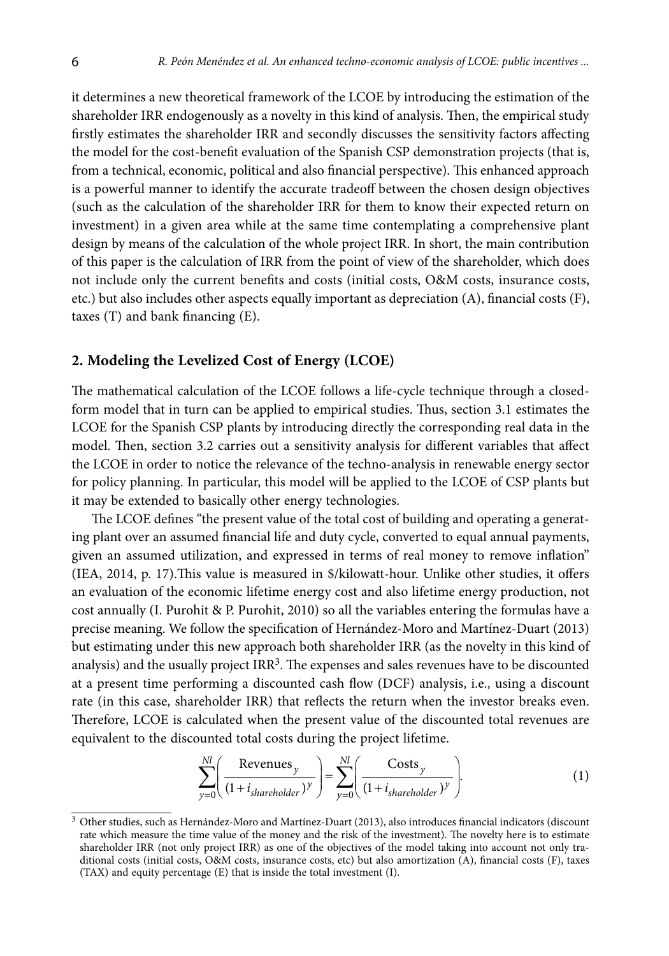it determines a new theoretical framework of the LCOE by introducing the estimation of the shareholder IRR endogenously as a novelty in this kind of analysis. Then, the empirical study firstly estimates the shareholder IRR and secondly discusses the sensitivity factors affecting the model for the cost-benefit evaluation of the Spanish CSP demonstration projects (that is, from a technical, economic, political and also financial perspective). This enhanced approach is a powerful manner to identify the accurate tradeoff between the chosen design objectives (such as the calculation of the shareholder IRR for them to know their expected return on investment) in a given area while at the same time contemplating a comprehensive plant design by means of the calculation of the whole project IRR. In short, the main contribution of this paper is the calculation of IRR from the point of view of the shareholder, which does not include only the current benefits and costs (initial costs, O&M costs, insurance costs, etc.) but also includes other aspects equally important as depreciation (A), financial costs (F), taxes (T) and bank financing (E).

### **2. Modeling the Levelized Cost of Energy (LCOE)**

The mathematical calculation of the LCOE follows a life-cycle technique through a closedform model that in turn can be applied to empirical studies. Thus, section 3.1 estimates the LCOE for the Spanish CSP plants by introducing directly the corresponding real data in the model. Then, section 3.2 carries out a sensitivity analysis for different variables that affect the LCOE in order to notice the relevance of the techno-analysis in renewable energy sector for policy planning. In particular, this model will be applied to the LCOE of CSP plants but it may be extended to basically other energy technologies.

The LCOE defines "the present value of the total cost of building and operating a generating plant over an assumed financial life and duty cycle, converted to equal annual payments, given an assumed utilization, and expressed in terms of real money to remove inflation" (IEA, 2014, p. 17).This value is measured in \$/kilowatt-hour. Unlike other studies, it offers an evaluation of the economic lifetime energy cost and also lifetime energy production, not cost annually (I. Purohit & P. Purohit, 2010) so all the variables entering the formulas have a precise meaning. We follow the specification of Hernández-Moro and Martínez-Duart (2013) but estimating under this new approach both shareholder IRR (as the novelty in this kind of analysis) and the usually project  $IRR<sup>3</sup>$ . The expenses and sales revenues have to be discounted at a present time performing a discounted cash flow (DCF) analysis, i.e., using a discount rate (in this case, shareholder IRR) that reflects the return when the investor breaks even. Therefore, LCOE is calculated when the present value of the discounted total revenues are equivalent to the discounted total costs during the project lifetime.

$$
\sum_{y=0}^{N l} \left( \frac{\text{Revenus}_y}{(1 + i_{shareholder})^y} \right) = \sum_{y=0}^{N l} \left( \frac{\text{Costs}_y}{(1 + i_{shareholder})^y} \right).
$$
 (1)

<sup>3</sup> Other studies, such as Hernández-Moro and Martínez-Duart (2013), also introduces financial indicators (discount rate which measure the time value of the money and the risk of the investment). The novelty here is to estimate shareholder IRR (not only project IRR) as one of the objectives of the model taking into account not only traditional costs (initial costs, O&M costs, insurance costs, etc) but also amortization (A), financial costs (F), taxes (TAX) and equity percentage (E) that is inside the total investment (I).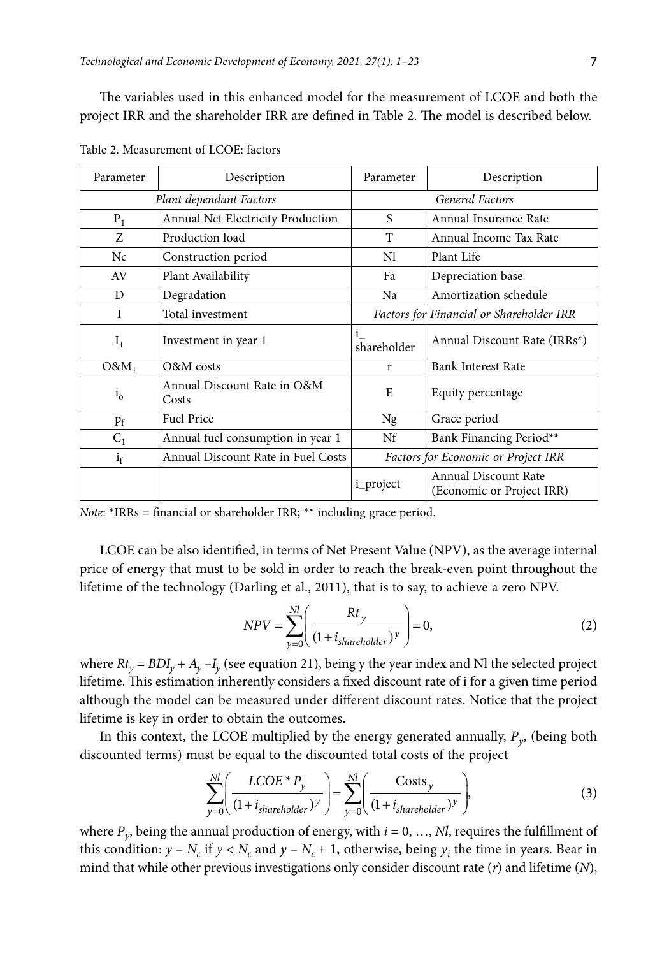The variables used in this enhanced model for the measurement of LCOE and both the project IRR and the shareholder IRR are defined in Table 2. The model is described below.

| Parameter    | Description                          | Parameter              | Description                                       |  |  |  |
|--------------|--------------------------------------|------------------------|---------------------------------------------------|--|--|--|
|              | Plant dependant Factors              | <b>General Factors</b> |                                                   |  |  |  |
| $P_1$        | Annual Net Electricity Production    | S                      | Annual Insurance Rate                             |  |  |  |
| Z            | Production load                      | T                      | Annual Income Tax Rate                            |  |  |  |
| Nc           | Construction period                  | Nl                     | Plant Life                                        |  |  |  |
| AV           | Plant Availability                   | Fa                     | Depreciation base                                 |  |  |  |
| D            | Degradation                          | Na                     | Amortization schedule                             |  |  |  |
| I            | Total investment                     |                        | Factors for Financial or Shareholder IRR          |  |  |  |
| $I_1$        | Investment in year 1                 | $1_{-}$<br>shareholder | Annual Discount Rate (IRRs*)                      |  |  |  |
| $O&M_1$      | O&M costs                            | r                      | <b>Bank Interest Rate</b>                         |  |  |  |
| $i_{\alpha}$ | Annual Discount Rate in O&M<br>Costs | E                      | Equity percentage                                 |  |  |  |
| $p_f$        | <b>Fuel Price</b>                    |                        | Grace period                                      |  |  |  |
| $C_1$        | Annual fuel consumption in year 1    |                        | Bank Financing Period**                           |  |  |  |
| $i_f$        | Annual Discount Rate in Fuel Costs   |                        | Factors for Economic or Project IRR               |  |  |  |
|              |                                      | i_project              | Annual Discount Rate<br>(Economic or Project IRR) |  |  |  |

Table 2. Measurement of LCOE: factors

*Note*: \*IRRs = financial or shareholder IRR; \*\* including grace period.

LCOE can be also identified, in terms of Net Present Value (NPV), as the average internal price of energy that must to be sold in order to reach the break-even point throughout the lifetime of the technology (Darling et al., 2011), that is to say, to achieve a zero NPV.

$$
NPV = \sum_{y=0}^{Nl} \left( \frac{Rt_y}{(1 + i_{sharedolder})^y} \right) = 0,
$$
\n(2)

where  $Rt_v = BDI_v + A_v - I_v$  (see equation 21), being y the year index and Nl the selected project lifetime. This estimation inherently considers a fixed discount rate of i for a given time period although the model can be measured under different discount rates. Notice that the project lifetime is key in order to obtain the outcomes.

In this context, the LCOE multiplied by the energy generated annually, *Py*, (being both discounted terms) must be equal to the discounted total costs of the project

$$
\sum_{y=0}^{Nl} \left( \frac{LCOE^* P_y}{(1 + i_{sharedholder})^y} \right) = \sum_{y=0}^{Nl} \left( \frac{Costs_y}{(1 + i_{sharedolder})^y} \right),
$$
\n(3)

where  $P_v$ , being the annual production of energy, with  $i = 0, ..., N$ , requires the fulfillment of this condition:  $y - N_c$  if  $y < N_c$  and  $y - N_c + 1$ , otherwise, being  $y_i$  the time in years. Bear in mind that while other previous investigations only consider discount rate (*r*) and lifetime (*N*),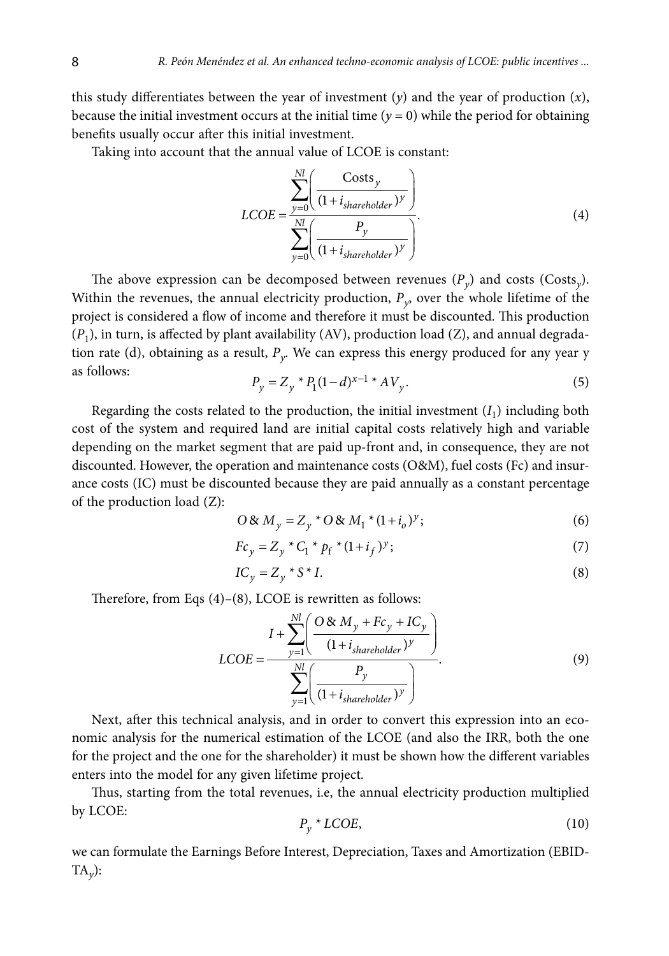this study differentiates between the year of investment (*y*) and the year of production (*x*), because the initial investment occurs at the initial time ( $y = 0$ ) while the period for obtaining benefits usually occur after this initial investment.

Taking into account that the annual value of LCOE is constant:

$$
LCOE = \frac{\sum_{y=0}^{Nl} \left( \frac{Costs_y}{(1 + i_{sharedolder})^y} \right)}{\sum_{y=0}^{Nl} \left( \frac{P_y}{(1 + i_{sharedolder})^y} \right)}.
$$
\n(4)

The above expression can be decomposed between revenues  $(P_v)$  and costs (Costs<sub>v</sub>). Within the revenues, the annual electricity production,  $P_{v}$ , over the whole lifetime of the project is considered a flow of income and therefore it must be discounted. This production (*P*1), in turn, is affected by plant availability (AV), production load (Z), and annual degradation rate (d), obtaining as a result, *Py*. We can express this energy produced for any year y as follows:<br> $P_v = Z_v * P_1(1-d)^{x-1}$ 

$$
P_y = Z_y * P_1 (1 - d)^{x - 1} * AV_y.
$$
 (5)

Regarding the costs related to the production, the initial investment  $(I_1)$  including both cost of the system and required land are initial capital costs relatively high and variable depending on the market segment that are paid up-front and, in consequence, they are not discounted. However, the operation and maintenance costs (O&M), fuel costs (Fc) and insurance costs (IC) must be discounted because they are paid annually as a constant percentage of the production load (Z):

$$
O \& M_y = Z_y * O \& M_1 * (1 + i_o)^y; \tag{6}
$$

$$
Fc_y = Z_y * C_1 * p_f * (1 + i_f) y;
$$
\n(7)

$$
IC_y = Z_y * S * I. \tag{8}
$$

Therefore, from Eqs (4)–(8), LCOE is rewritten as follows:

$$
LCOE = \frac{I + \sum_{y=1}^{Nl} \left( \frac{O \& M_y + Fc_y + IC_y}{(1 + i_{shareholder})y} \right)}{\sum_{y=1}^{Nl} \left( \frac{P_y}{(1 + i_{shareholder})y} \right)}.
$$
\n
$$
(9)
$$

Next, after this technical analysis, and in order to convert this expression into an economic analysis for the numerical estimation of the LCOE (and also the IRR, both the one for the project and the one for the shareholder) it must be shown how the different variables enters into the model for any given lifetime project.

Thus, starting from the total revenues, i.e, the annual electricity production multiplied by LCOE:  $P_y * LCOE$ , (10)

$$
P_{\nu} * LCOE, \tag{10}
$$

we can formulate the Earnings Before Interest, Depreciation, Taxes and Amortization (EBID- $TA_{\nu}$ ):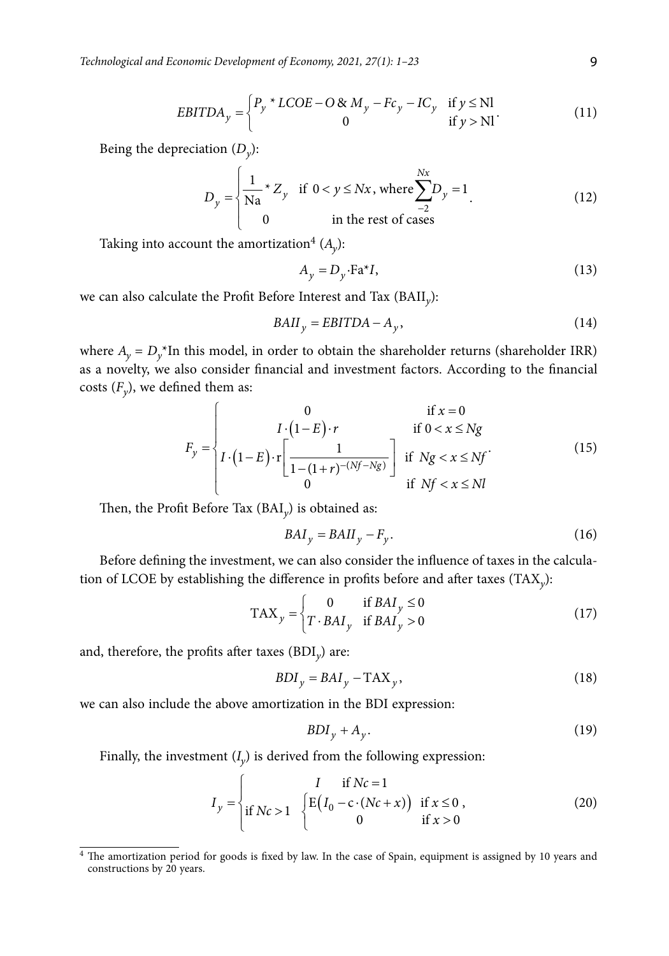*Technological and Economic Development of Economy, 2021, 27(1): 1–23* 9

$$
EBITDA_y = \begin{cases} P_y * LCOE - O & M_y - Fc_y - IC_y & \text{if } y \le Nl \\ 0 & \text{if } y > Nl \end{cases} \tag{11}
$$

Being the depreciation  $(D_{\gamma})$ :

$$
D_y = \begin{cases} \frac{1}{\text{Na}} \times Z_y & \text{if } 0 < y \leq Nx, \text{ where } \sum_{-2}^{Nx} D_y = 1\\ 0 & \text{in the rest of cases} \end{cases} \tag{12}
$$

Taking into account the amortization<sup>4</sup>  $(A_v)$ :

$$
A_y = D_y \cdot \text{Fa}^* I,\tag{13}
$$

we can also calculate the Profit Before Interest and Tax (BAII*y*):

$$
BAII_y = EBITDA - A_y,\t\t(14)
$$

where  $A_y = D_y^*$ In this model, in order to obtain the shareholder returns (shareholder IRR) as a novelty, we also consider financial and investment factors. According to the financial costs  $(F_y)$ , we defined them as:

$$
F_y = \begin{cases} 0 & \text{if } x = 0\\ I \cdot (1 - E) \cdot r & \text{if } 0 < x \le Ng\\ I \cdot (1 - E) \cdot r \left[ \frac{1}{1 - (1 + r)^{-(Nf - Ng)}} \right] & \text{if } Ng < x \le Nf\\ 0 & \text{if } Nf < x \le Nl \end{cases}
$$
(15)

Then, the Profit Before Tax (BAI*y*) is obtained as:

$$
BAI_y = BAII_y - F_y. \tag{16}
$$

Before defining the investment, we can also consider the influence of taxes in the calculation of LCOE by establishing the difference in profits before and after taxes (TAX*y*):

$$
TAX_y = \begin{cases} 0 & \text{if } BAI_y \le 0\\ T \cdot BAI_y & \text{if } BAI_y > 0 \end{cases}
$$
 (17)

and, therefore, the profits after taxes (BDI*y*) are:

$$
BDI_y = BAI_y - TAX_y, \qquad (18)
$$

we can also include the above amortization in the BDI expression:

$$
BDI_y + A_y. \tag{19}
$$

Finally, the investment  $(I_y)$  is derived from the following expression:

$$
I_{y} = \begin{cases} I & \text{if } Nc = 1 \\ \text{if } Nc > 1 \end{cases} \begin{cases} I & \text{if } Nc = 1 \\ E(I_{0} - c \cdot (Nc + x)) & \text{if } x \le 0 \\ 0 & \text{if } x > 0 \end{cases}
$$
 (20)

<sup>&</sup>lt;sup>4</sup> The amortization period for goods is fixed by law. In the case of Spain, equipment is assigned by 10 years and constructions by 20 years.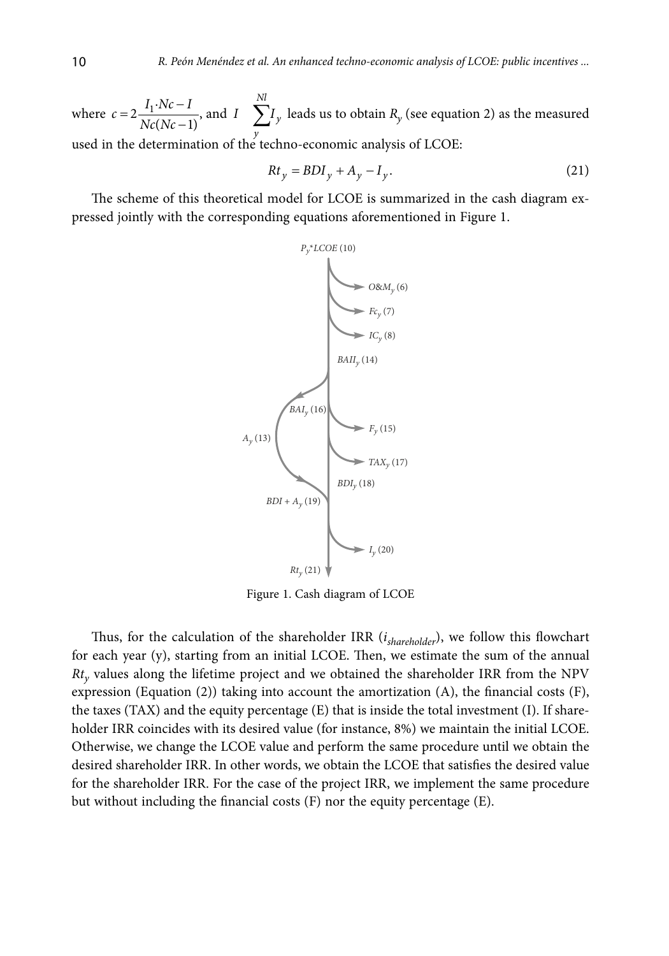where  $c = 2 \frac{I_1 \cdot Nc - I}{Nc(Nc - 1)}$  $c = 2 \frac{I_1 \cdot Nc - I}{Nc(Nc - 1)}$ , and  $I = \sum_{v=1}^{Nl}$ *I*  $\sum I_y$  leads us to obtain  $R_y$  (see equation 2) as the measured used in the determination of the techno-economic analysis of LCOE:

$$
Rt_y = BDI_y + A_y - I_y. \tag{21}
$$

The scheme of this theoretical model for LCOE is summarized in the cash diagram expressed jointly with the corresponding equations aforementioned in Figure 1.



Figure 1. Cash diagram of LCOE

Thus, for the calculation of the shareholder IRR (*ishareholder*), we follow this flowchart for each year (y), starting from an initial LCOE. Then, we estimate the sum of the annual *Rty* values along the lifetime project and we obtained the shareholder IRR from the NPV expression (Equation (2)) taking into account the amortization (A), the financial costs (F), the taxes (TAX) and the equity percentage (E) that is inside the total investment (I). If shareholder IRR coincides with its desired value (for instance, 8%) we maintain the initial LCOE. Otherwise, we change the LCOE value and perform the same procedure until we obtain the desired shareholder IRR. In other words, we obtain the LCOE that satisfies the desired value for the shareholder IRR. For the case of the project IRR, we implement the same procedure but without including the financial costs (F) nor the equity percentage (E).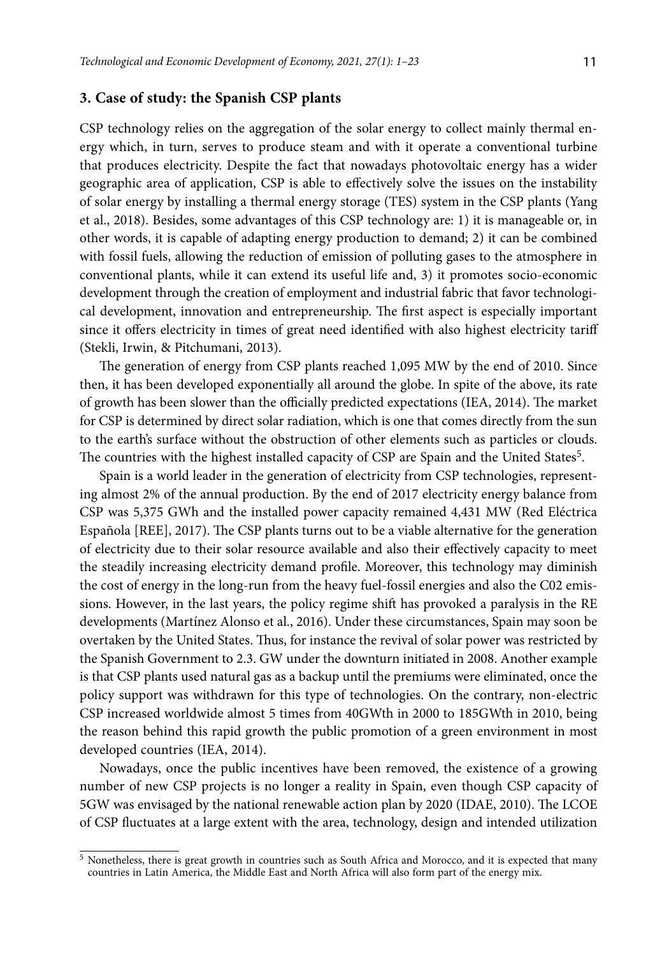# **3. Case of study: the Spanish CSP plants**

CSP technology relies on the aggregation of the solar energy to collect mainly thermal energy which, in turn, serves to produce steam and with it operate a conventional turbine that produces electricity. Despite the fact that nowadays photovoltaic energy has a wider geographic area of application, CSP is able to effectively solve the issues on the instability of solar energy by installing a thermal energy storage (TES) system in the CSP plants (Yang et al., 2018). Besides, some advantages of this CSP technology are: 1) it is manageable or, in other words, it is capable of adapting energy production to demand; 2) it can be combined with fossil fuels, allowing the reduction of emission of polluting gases to the atmosphere in conventional plants, while it can extend its useful life and, 3) it promotes socio-economic development through the creation of employment and industrial fabric that favor technological development, innovation and entrepreneurship. The first aspect is especially important since it offers electricity in times of great need identified with also highest electricity tariff (Stekli, Irwin, & Pitchumani, 2013).

The generation of energy from CSP plants reached 1,095 MW by the end of 2010. Since then, it has been developed exponentially all around the globe. In spite of the above, its rate of growth has been slower than the officially predicted expectations (IEA, 2014). The market for CSP is determined by direct solar radiation, which is one that comes directly from the sun to the earth's surface without the obstruction of other elements such as particles or clouds. The countries with the highest installed capacity of CSP are Spain and the United States<sup>5</sup>.

Spain is a world leader in the generation of electricity from CSP technologies, representing almost 2% of the annual production. By the end of 2017 electricity energy balance from CSP was 5,375 GWh and the installed power capacity remained 4,431 MW (Red Eléctrica Española [REE], 2017). The CSP plants turns out to be a viable alternative for the generation of electricity due to their solar resource available and also their effectively capacity to meet the steadily increasing electricity demand profile. Moreover, this technology may diminish the cost of energy in the long-run from the heavy fuel-fossil energies and also the C02 emissions. However, in the last years, the policy regime shift has provoked a paralysis in the RE developments (Martínez Alonso et al., 2016). Under these circumstances, Spain may soon be overtaken by the United States. Thus, for instance the revival of solar power was restricted by the Spanish Government to 2.3. GW under the downturn initiated in 2008. Another example is that CSP plants used natural gas as a backup until the premiums were eliminated, once the policy support was withdrawn for this type of technologies. On the contrary, non-electric CSP increased worldwide almost 5 times from 40GWth in 2000 to 185GWth in 2010, being the reason behind this rapid growth the public promotion of a green environment in most developed countries (IEA, 2014).

Nowadays, once the public incentives have been removed, the existence of a growing number of new CSP projects is no longer a reality in Spain, even though CSP capacity of 5GW was envisaged by the national renewable action plan by 2020 (IDAE, 2010). The LCOE of CSP fluctuates at a large extent with the area, technology, design and intended utilization

<sup>5</sup> Nonetheless, there is great growth in countries such as South Africa and Morocco, and it is expected that many countries in Latin America, the Middle East and North Africa will also form part of the energy mix.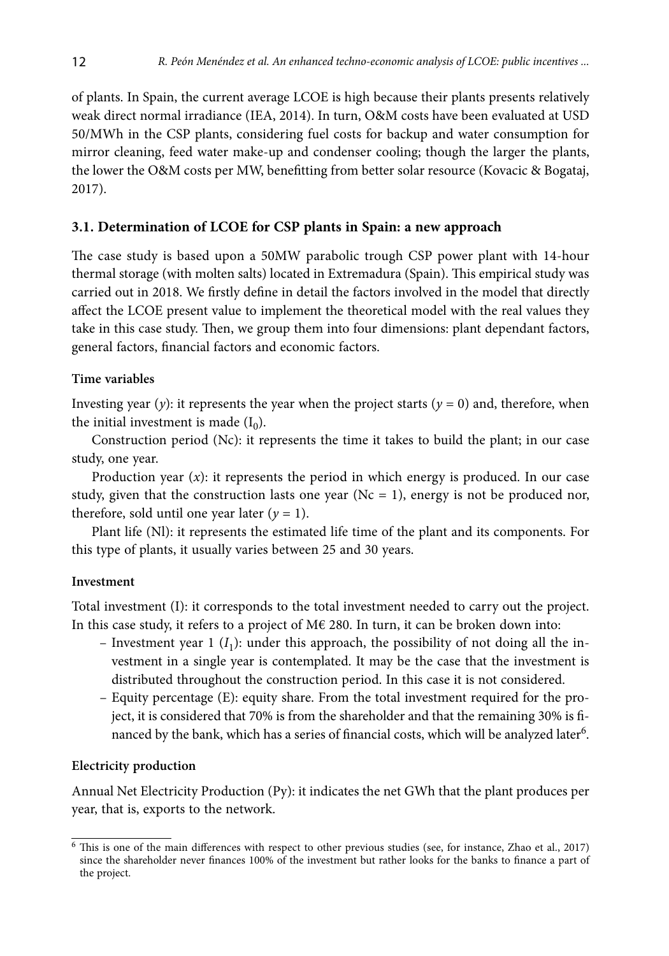of plants. In Spain, the current average LCOE is high because their plants presents relatively weak direct normal irradiance (IEA, 2014). In turn, O&M costs have been evaluated at USD 50/MWh in the CSP plants, considering fuel costs for backup and water consumption for mirror cleaning, feed water make-up and condenser cooling; though the larger the plants, the lower the O&M costs per MW, benefitting from better solar resource (Kovacic & Bogataj, 2017).

### **3.1. Determination of LCOE for CSP plants in Spain: a new approach**

The case study is based upon a 50MW parabolic trough CSP power plant with 14-hour thermal storage (with molten salts) located in Extremadura (Spain). This empirical study was carried out in 2018. We firstly define in detail the factors involved in the model that directly affect the LCOE present value to implement the theoretical model with the real values they take in this case study. Then, we group them into four dimensions: plant dependant factors, general factors, financial factors and economic factors.

#### **Time variables**

Investing year (*y*): it represents the year when the project starts ( $y = 0$ ) and, therefore, when the initial investment is made  $(I_0)$ .

Construction period (Nc): it represents the time it takes to build the plant; in our case study, one year.

Production year  $(x)$ : it represents the period in which energy is produced. In our case study, given that the construction lasts one year ( $Nc = 1$ ), energy is not be produced nor, therefore, sold until one year later  $(y = 1)$ .

Plant life (Nl): it represents the estimated life time of the plant and its components. For this type of plants, it usually varies between 25 and 30 years.

#### **Investment**

Total investment (I): it corresponds to the total investment needed to carry out the project. In this case study, it refers to a project of M€ 280. In turn, it can be broken down into:

- Investment year 1  $(I_1)$ : under this approach, the possibility of not doing all the investment in a single year is contemplated. It may be the case that the investment is distributed throughout the construction period. In this case it is not considered.
- Equity percentage (E): equity share. From the total investment required for the project, it is considered that 70% is from the shareholder and that the remaining 30% is financed by the bank, which has a series of financial costs, which will be analyzed later<sup>6</sup>.

#### **Electricity production**

Annual Net Electricity Production (Py): it indicates the net GWh that the plant produces per year, that is, exports to the network.

<sup>6</sup> This is one of the main differences with respect to other previous studies (see, for instance, Zhao et al., 2017) since the shareholder never finances 100% of the investment but rather looks for the banks to finance a part of the project.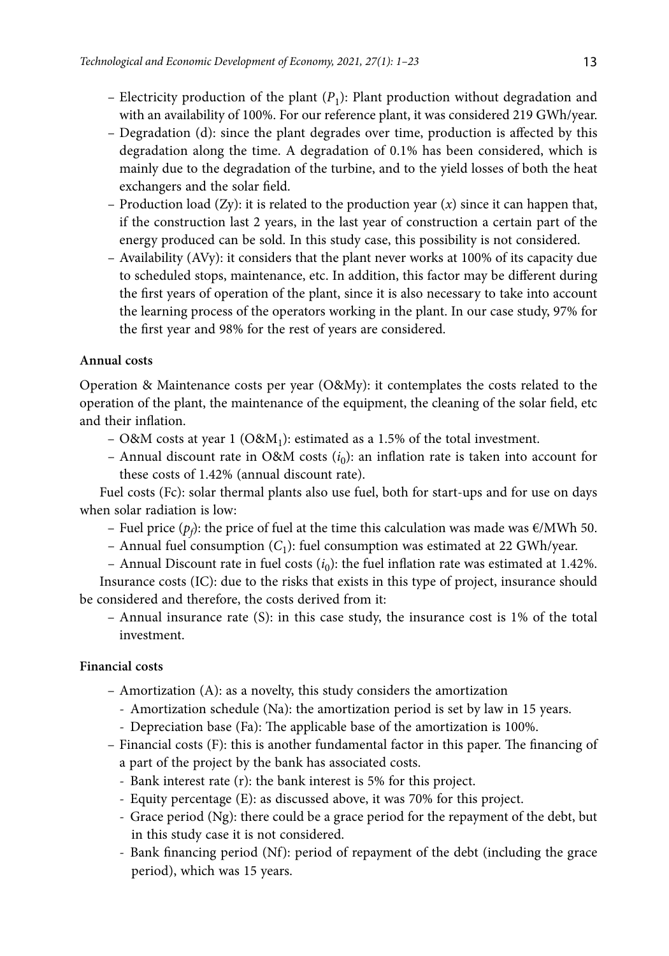- Electricity production of the plant  $(P_1)$ : Plant production without degradation and with an availability of 100%. For our reference plant, it was considered 219 GWh/year.
- Degradation (d): since the plant degrades over time, production is affected by this degradation along the time. A degradation of 0.1% has been considered, which is mainly due to the degradation of the turbine, and to the yield losses of both the heat exchangers and the solar field.
- Production load (Zy): it is related to the production year (*x*) since it can happen that, if the construction last 2 years, in the last year of construction a certain part of the energy produced can be sold. In this study case, this possibility is not considered.
- Availability (AVy): it considers that the plant never works at 100% of its capacity due to scheduled stops, maintenance, etc. In addition, this factor may be different during the first years of operation of the plant, since it is also necessary to take into account the learning process of the operators working in the plant. In our case study, 97% for the first year and 98% for the rest of years are considered.

### **Annual costs**

Operation & Maintenance costs per year (O&My): it contemplates the costs related to the operation of the plant, the maintenance of the equipment, the cleaning of the solar field, etc and their inflation.

- O&M costs at year 1 (O&M<sub>1</sub>): estimated as a 1.5% of the total investment.
- Annual discount rate in O&M costs  $(i_0)$ : an inflation rate is taken into account for these costs of 1.42% (annual discount rate).

Fuel costs (Fc): solar thermal plants also use fuel, both for start-ups and for use on days when solar radiation is low:

- Fuel price ( $p_f$ ): the price of fuel at the time this calculation was made was €/MWh 50.
- Annual fuel consumption  $(C_1)$ : fuel consumption was estimated at 22 GWh/year.
- Annual Discount rate in fuel costs  $(i_0)$ : the fuel inflation rate was estimated at 1.42%.

Insurance costs (IC): due to the risks that exists in this type of project, insurance should be considered and therefore, the costs derived from it:

– Annual insurance rate (S): in this case study, the insurance cost is 1% of the total investment.

### **Financial costs**

- Amortization (A): as a novelty, this study considers the amortization
	- Amortization schedule (Na): the amortization period is set by law in 15 years.
	- Depreciation base (Fa): The applicable base of the amortization is 100%.
- Financial costs (F): this is another fundamental factor in this paper. The financing of a part of the project by the bank has associated costs.
	- Bank interest rate (r): the bank interest is 5% for this project.
	- Equity percentage (E): as discussed above, it was 70% for this project.
	- Grace period (Ng): there could be a grace period for the repayment of the debt, but in this study case it is not considered.
	- Bank financing period (Nf): period of repayment of the debt (including the grace period), which was 15 years.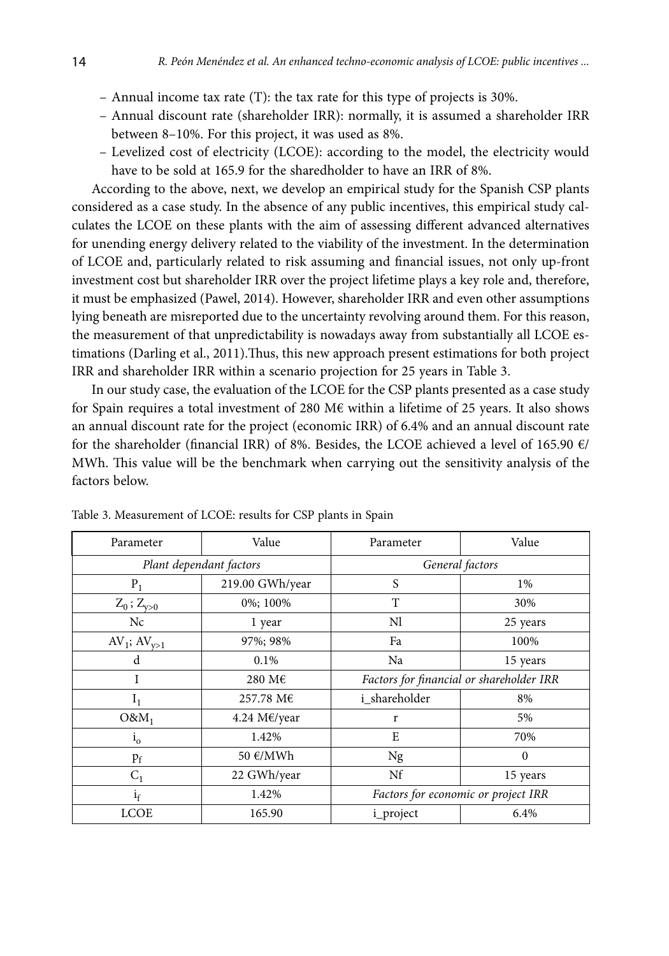- Annual income tax rate (T): the tax rate for this type of projects is 30%.
- Annual discount rate (shareholder IRR): normally, it is assumed a shareholder IRR between 8–10%. For this project, it was used as 8%.
- Levelized cost of electricity (LCOE): according to the model, the electricity would have to be sold at 165.9 for the sharedholder to have an IRR of 8%.

According to the above, next, we develop an empirical study for the Spanish CSP plants considered as a case study. In the absence of any public incentives, this empirical study calculates the LCOE on these plants with the aim of assessing different advanced alternatives for unending energy delivery related to the viability of the investment. In the determination of LCOE and, particularly related to risk assuming and financial issues, not only up-front investment cost but shareholder IRR over the project lifetime plays a key role and, therefore, it must be emphasized (Pawel, 2014). However, shareholder IRR and even other assumptions lying beneath are misreported due to the uncertainty revolving around them. For this reason, the measurement of that unpredictability is nowadays away from substantially all LCOE estimations (Darling et al., 2011).Thus, this new approach present estimations for both project IRR and shareholder IRR within a scenario projection for 25 years in Table 3.

In our study case, the evaluation of the LCOE for the CSP plants presented as a case study for Spain requires a total investment of 280 M€ within a lifetime of 25 years. It also shows an annual discount rate for the project (economic IRR) of 6.4% and an annual discount rate for the shareholder (financial IRR) of 8%. Besides, the LCOE achieved a level of 165.90 €/ MWh. This value will be the benchmark when carrying out the sensitivity analysis of the factors below.

| Parameter           | Value                   | Parameter                                | Value                               |  |  |
|---------------------|-------------------------|------------------------------------------|-------------------------------------|--|--|
|                     | Plant dependant factors | General factors                          |                                     |  |  |
| $P_1$               | 219.00 GWh/year         | S                                        | 1%                                  |  |  |
| $Z_0$ ; $Z_{y>0}$   | 0%; 100%                | T                                        | 30%                                 |  |  |
| Nc                  | 1 year                  | Nl                                       | 25 years                            |  |  |
| $AV_1$ ; $AV_{v>1}$ | 97%; 98%                | Fa                                       | 100%                                |  |  |
| d                   | $0.1\%$                 | Na                                       | 15 years                            |  |  |
| I<br>280 M€         |                         | Factors for financial or shareholder IRR |                                     |  |  |
| $I_1$               | 257.78 M€               | i shareholder                            | 8%                                  |  |  |
| $O&M_1$             | 4.24 M€/year            | r                                        | 5%                                  |  |  |
| $1_{\rm o}$         | 1.42%                   | E                                        | 70%                                 |  |  |
| $p_f$               | 50 €/MWh                | Ng                                       | $\Omega$                            |  |  |
| $C_1$               | 22 GWh/year             |                                          | 15 years                            |  |  |
| $i_f$               | 1.42%                   |                                          | Factors for economic or project IRR |  |  |
| <b>LCOE</b>         | 165.90                  | i_project                                | 6.4%                                |  |  |

Table 3. Measurement of LCOE: results for CSP plants in Spain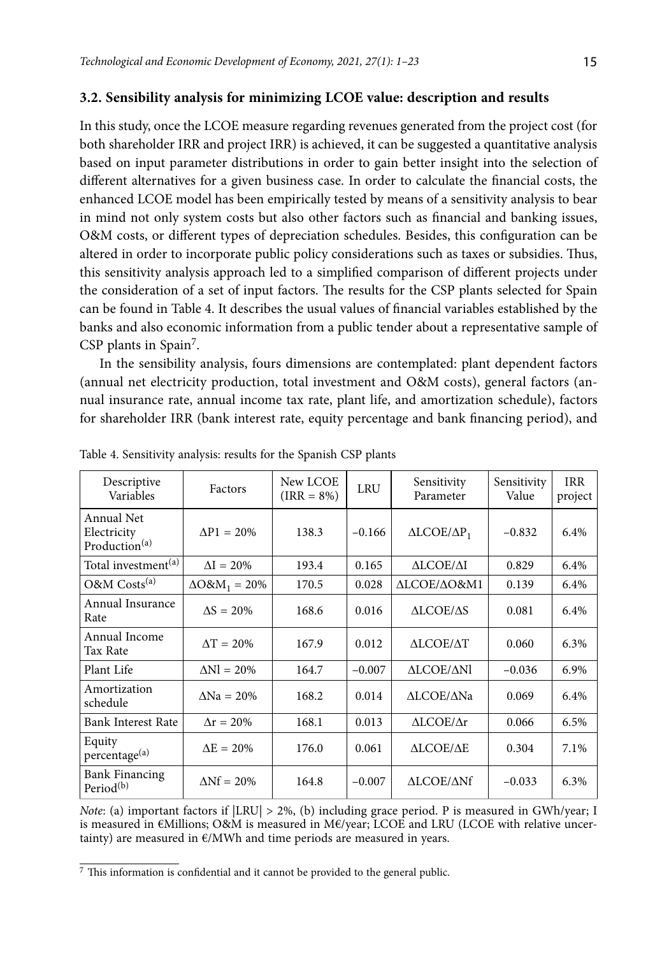#### **3.2. Sensibility analysis for minimizing LCOE value: description and results**

In this study, once the LCOE measure regarding revenues generated from the project cost (for both shareholder IRR and project IRR) is achieved, it can be suggested a quantitative analysis based on input parameter distributions in order to gain better insight into the selection of different alternatives for a given business case. In order to calculate the financial costs, the enhanced LCOE model has been empirically tested by means of a sensitivity analysis to bear in mind not only system costs but also other factors such as financial and banking issues, O&M costs, or different types of depreciation schedules. Besides, this configuration can be altered in order to incorporate public policy considerations such as taxes or subsidies. Thus, this sensitivity analysis approach led to a simplified comparison of different projects under the consideration of a set of input factors. The results for the CSP plants selected for Spain can be found in Table 4. It describes the usual values of financial variables established by the banks and also economic information from a public tender about a representative sample of CSP plants in Spain<sup>7</sup>.

In the sensibility analysis, fours dimensions are contemplated: plant dependent factors (annual net electricity production, total investment and O&M costs), general factors (annual insurance rate, annual income tax rate, plant life, and amortization schedule), factors for shareholder IRR (bank interest rate, equity percentage and bank financing period), and

| Descriptive<br>Variables                       | Factors                         | New LCOE<br>$\text{(IRR = } 8\%)$ | <b>LRU</b> | Sensitivity<br>Parameter  | Sensitivity<br>Value | <b>IRR</b><br>project |
|------------------------------------------------|---------------------------------|-----------------------------------|------------|---------------------------|----------------------|-----------------------|
| Annual Net<br>Electricity<br>Production $(a)$  | $\Delta P1 = 20\%$              | 138.3                             | $-0.166$   | $ALCOE/\Delta P_1$        | $-0.832$             | 6.4%                  |
| Total investment <sup>(a)</sup>                | $\Delta I = 20\%$               | 193.4                             | 0.165      | <b>ΔLCOE/ΔI</b>           | 0.829                | 6.4%                  |
| O&M Costs <sup>(a)</sup>                       | $\Delta$ O&M <sub>1</sub> = 20% | 170.5                             | 0.028      | ALCOE/AO&M1               | 0.139                | 6.4%                  |
| Annual Insurance<br>Rate                       | $\Delta S = 20\%$               | 168.6                             | 0.016      | ALCOE/AS                  | 0.081                | 6.4%                  |
| Annual Income<br>Tax Rate                      | $\Delta T = 20\%$               | 167.9                             | 0.012      | ΔLCOE/ΔΤ                  | 0.060                | 6.3%                  |
| Plant Life                                     | $\Delta$ Nl = 20%               | 164.7                             | $-0.007$   | <b>ALCOE/ANI</b>          | $-0.036$             | 6.9%                  |
| Amortization<br>schedule                       | $\Delta$ Na = 20%               | 168.2                             | 0.014      | ALCOE/ANa                 | 0.069                | 6.4%                  |
| Bank Interest Rate                             | $\Delta r = 20\%$               | 168.1                             | 0.013      | $\triangle LCOE/\Delta r$ | 0.066                | 6.5%                  |
| Equity<br>percentage <sup>(a)</sup>            | $\Delta E = 20\%$               | 176.0                             | 0.061      | <b>ALCOE/AE</b>           | 0.304                | 7.1%                  |
| <b>Bank Financing</b><br>Period <sup>(b)</sup> | $\Delta \mathrm{Nf} = 20\%$     | 164.8                             | $-0.007$   | <b>ALCOE/ANf</b>          | $-0.033$             | 6.3%                  |

Table 4. Sensitivity analysis: results for the Spanish CSP plants

*Note*: (a) important factors if  $|LRU| > 2\%$ , (b) including grace period. P is measured in GWh/year; I is measured in €Millions; O&M is measured in M€/year; LCOE and LRU (LCOE with relative uncertainty) are measured in  $E/MWh$  and time periods are measured in years.

<sup>7</sup> This information is confidential and it cannot be provided to the general public.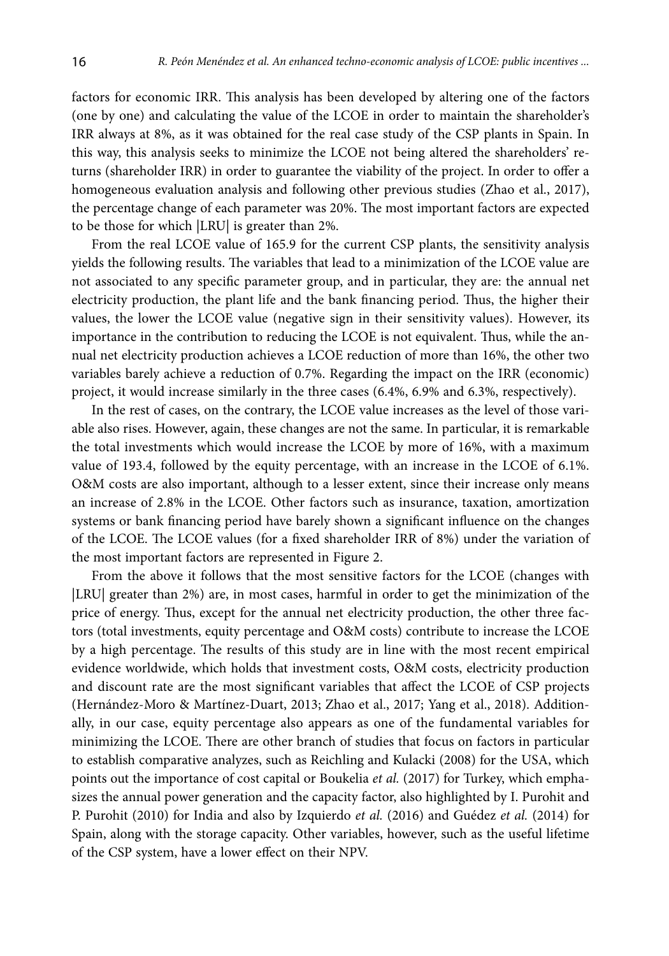factors for economic IRR. This analysis has been developed by altering one of the factors (one by one) and calculating the value of the LCOE in order to maintain the shareholder's IRR always at 8%, as it was obtained for the real case study of the CSP plants in Spain. In this way, this analysis seeks to minimize the LCOE not being altered the shareholders' returns (shareholder IRR) in order to guarantee the viability of the project. In order to offer a homogeneous evaluation analysis and following other previous studies (Zhao et al., 2017), the percentage change of each parameter was 20%. The most important factors are expected to be those for which |LRU| is greater than 2%.

From the real LCOE value of 165.9 for the current CSP plants, the sensitivity analysis yields the following results. The variables that lead to a minimization of the LCOE value are not associated to any specific parameter group, and in particular, they are: the annual net electricity production, the plant life and the bank financing period. Thus, the higher their values, the lower the LCOE value (negative sign in their sensitivity values). However, its importance in the contribution to reducing the LCOE is not equivalent. Thus, while the annual net electricity production achieves a LCOE reduction of more than 16%, the other two variables barely achieve a reduction of 0.7%. Regarding the impact on the IRR (economic) project, it would increase similarly in the three cases (6.4%, 6.9% and 6.3%, respectively).

In the rest of cases, on the contrary, the LCOE value increases as the level of those variable also rises. However, again, these changes are not the same. In particular, it is remarkable the total investments which would increase the LCOE by more of 16%, with a maximum value of 193.4, followed by the equity percentage, with an increase in the LCOE of 6.1%. O&M costs are also important, although to a lesser extent, since their increase only means an increase of 2.8% in the LCOE. Other factors such as insurance, taxation, amortization systems or bank financing period have barely shown a significant influence on the changes of the LCOE. The LCOE values (for a fixed shareholder IRR of 8%) under the variation of the most important factors are represented in Figure 2.

From the above it follows that the most sensitive factors for the LCOE (changes with |LRU| greater than 2%) are, in most cases, harmful in order to get the minimization of the price of energy. Thus, except for the annual net electricity production, the other three factors (total investments, equity percentage and O&M costs) contribute to increase the LCOE by a high percentage. The results of this study are in line with the most recent empirical evidence worldwide, which holds that investment costs, O&M costs, electricity production and discount rate are the most significant variables that affect the LCOE of CSP projects (Hernández-Moro & Martínez-Duart, 2013; Zhao et al., 2017; Yang et al., 2018). Additionally, in our case, equity percentage also appears as one of the fundamental variables for minimizing the LCOE. There are other branch of studies that focus on factors in particular to establish comparative analyzes, such as Reichling and Kulacki (2008) for the USA, which points out the importance of cost capital or Boukelia *et al.* (2017) for Turkey, which emphasizes the annual power generation and the capacity factor, also highlighted by I. Purohit and P. Purohit (2010) for India and also by Izquierdo *et al.* (2016) and Guédez *et al.* (2014) for Spain, along with the storage capacity. Other variables, however, such as the useful lifetime of the CSP system, have a lower effect on their NPV.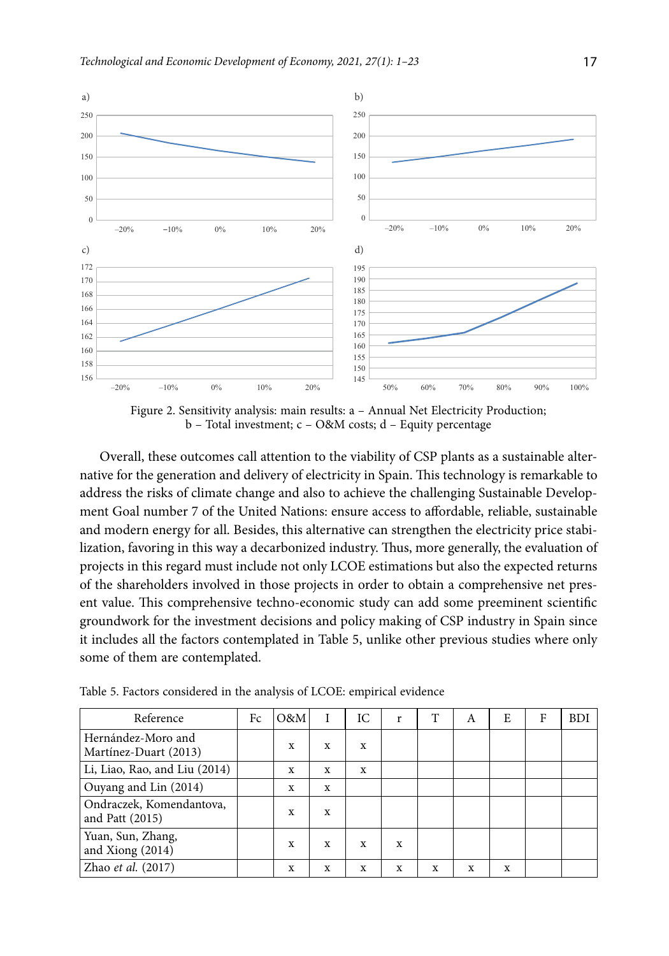

Figure 2. Sensitivity analysis: main results: a – Annual Net Electricity Production; b – Total investment; c – O&M costs; d – Equity percentage

Overall, these outcomes call attention to the viability of CSP plants as a sustainable alternative for the generation and delivery of electricity in Spain. This technology is remarkable to address the risks of climate change and also to achieve the challenging Sustainable Development Goal number 7 of the United Nations: ensure access to affordable, reliable, sustainable and modern energy for all. Besides, this alternative can strengthen the electricity price stabilization, favoring in this way a decarbonized industry. Thus, more generally, the evaluation of projects in this regard must include not only LCOE estimations but also the expected returns of the shareholders involved in those projects in order to obtain a comprehensive net present value. This comprehensive techno-economic study can add some preeminent scientific groundwork for the investment decisions and policy making of CSP industry in Spain since it includes all the factors contemplated in Table 5, unlike other previous studies where only some of them are contemplated.

| Reference                                   | Fc | O&M |             | IC | r | T | A | E | F | <b>BDI</b> |
|---------------------------------------------|----|-----|-------------|----|---|---|---|---|---|------------|
| Hernández-Moro and<br>Martínez-Duart (2013) |    | X   | X           | X  |   |   |   |   |   |            |
| Li, Liao, Rao, and Liu (2014)               |    | X   | X           | X  |   |   |   |   |   |            |
| Ouyang and Lin (2014)                       |    | X   | X           |    |   |   |   |   |   |            |
| Ondraczek, Komendantova,<br>and Patt (2015) |    | X   | X           |    |   |   |   |   |   |            |
| Yuan, Sun, Zhang,<br>and Xiong (2014)       |    | X   | X           | X  | X |   |   |   |   |            |
| Zhao et al. (2017)                          |    | X   | $\mathbf x$ | X  | X | X | X | X |   |            |

Table 5. Factors considered in the analysis of LCOE: empirical evidence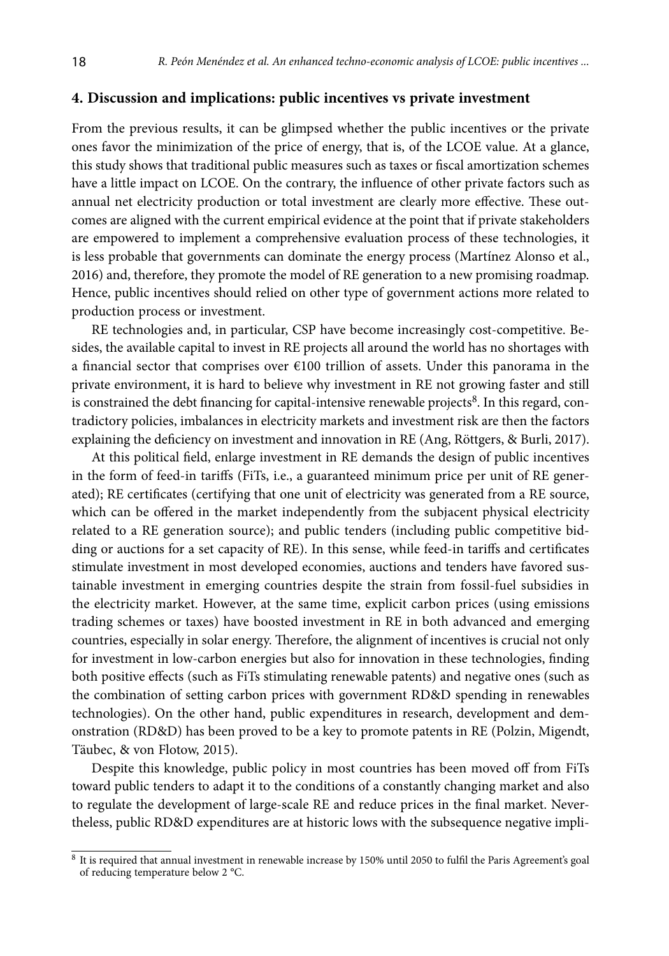### **4. Discussion and implications: public incentives vs private investment**

From the previous results, it can be glimpsed whether the public incentives or the private ones favor the minimization of the price of energy, that is, of the LCOE value. At a glance, this study shows that traditional public measures such as taxes or fiscal amortization schemes have a little impact on LCOE. On the contrary, the influence of other private factors such as annual net electricity production or total investment are clearly more effective. These outcomes are aligned with the current empirical evidence at the point that if private stakeholders are empowered to implement a comprehensive evaluation process of these technologies, it is less probable that governments can dominate the energy process (Martínez Alonso et al., 2016) and, therefore, they promote the model of RE generation to a new promising roadmap. Hence, public incentives should relied on other type of government actions more related to production process or investment.

RE technologies and, in particular, CSP have become increasingly cost-competitive. Besides, the available capital to invest in RE projects all around the world has no shortages with a financial sector that comprises over €100 trillion of assets. Under this panorama in the private environment, it is hard to believe why investment in RE not growing faster and still is constrained the debt financing for capital-intensive renewable projects<sup>8</sup>. In this regard, contradictory policies, imbalances in electricity markets and investment risk are then the factors explaining the deficiency on investment and innovation in RE (Ang, Röttgers, & Burli, 2017).

At this political field, enlarge investment in RE demands the design of public incentives in the form of feed-in tariffs (FiTs, i.e., a guaranteed minimum price per unit of RE generated); RE certificates (certifying that one unit of electricity was generated from a RE source, which can be offered in the market independently from the subjacent physical electricity related to a RE generation source); and public tenders (including public competitive bidding or auctions for a set capacity of RE). In this sense, while feed-in tariffs and certificates stimulate investment in most developed economies, auctions and tenders have favored sustainable investment in emerging countries despite the strain from fossil-fuel subsidies in the electricity market. However, at the same time, explicit carbon prices (using emissions trading schemes or taxes) have boosted investment in RE in both advanced and emerging countries, especially in solar energy. Therefore, the alignment of incentives is crucial not only for investment in low-carbon energies but also for innovation in these technologies, finding both positive effects (such as FiTs stimulating renewable patents) and negative ones (such as the combination of setting carbon prices with government RD&D spending in renewables technologies). On the other hand, public expenditures in research, development and demonstration (RD&D) has been proved to be a key to promote patents in RE (Polzin, Migendt, Täubec, & von Flotow, 2015).

Despite this knowledge, public policy in most countries has been moved off from FiTs toward public tenders to adapt it to the conditions of a constantly changing market and also to regulate the development of large-scale RE and reduce prices in the final market. Nevertheless, public RD&D expenditures are at historic lows with the subsequence negative impli-

<sup>&</sup>lt;sup>8</sup> It is required that annual investment in renewable increase by 150% until 2050 to fulfil the Paris Agreement's goal of reducing temperature below 2 °C.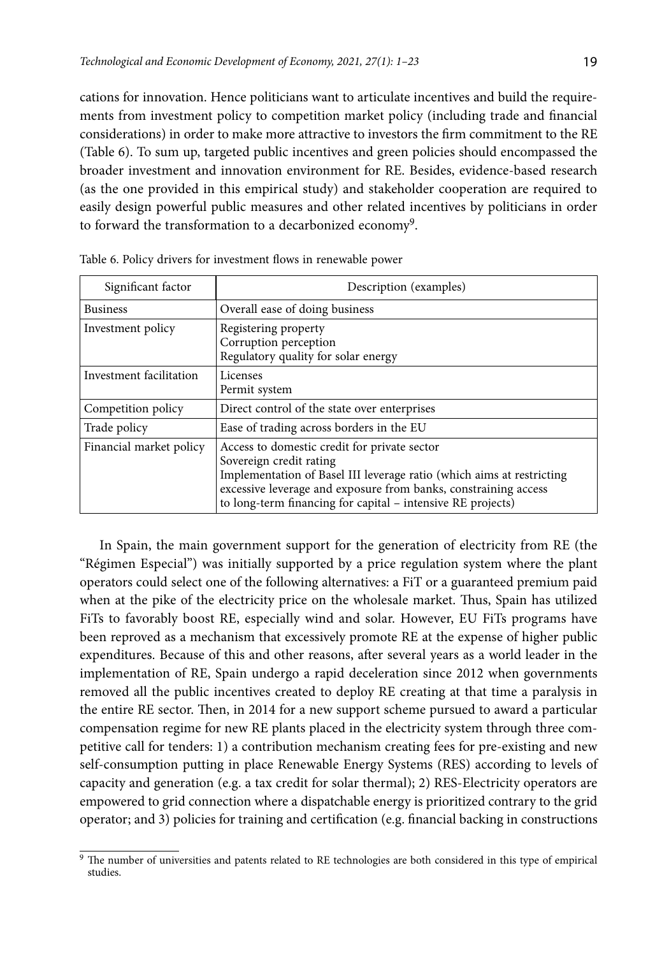cations for innovation. Hence politicians want to articulate incentives and build the requirements from investment policy to competition market policy (including trade and financial considerations) in order to make more attractive to investors the firm commitment to the RE (Table 6). To sum up, targeted public incentives and green policies should encompassed the broader investment and innovation environment for RE. Besides, evidence-based research (as the one provided in this empirical study) and stakeholder cooperation are required to easily design powerful public measures and other related incentives by politicians in order to forward the transformation to a decarbonized economy<sup>9</sup>.

| Significant factor      | Description (examples)                                                                                                                                                                                                                                                             |  |
|-------------------------|------------------------------------------------------------------------------------------------------------------------------------------------------------------------------------------------------------------------------------------------------------------------------------|--|
| <b>Business</b>         | Overall ease of doing business                                                                                                                                                                                                                                                     |  |
| Investment policy       | Registering property<br>Corruption perception<br>Regulatory quality for solar energy                                                                                                                                                                                               |  |
| Investment facilitation | Licenses<br>Permit system                                                                                                                                                                                                                                                          |  |
| Competition policy      | Direct control of the state over enterprises                                                                                                                                                                                                                                       |  |
| Trade policy            | Ease of trading across borders in the EU                                                                                                                                                                                                                                           |  |
| Financial market policy | Access to domestic credit for private sector<br>Sovereign credit rating<br>Implementation of Basel III leverage ratio (which aims at restricting<br>excessive leverage and exposure from banks, constraining access<br>to long-term financing for capital - intensive RE projects) |  |

Table 6. Policy drivers for investment flows in renewable power

In Spain, the main government support for the generation of electricity from RE (the "Régimen Especial") was initially supported by a price regulation system where the plant operators could select one of the following alternatives: a FiT or a guaranteed premium paid when at the pike of the electricity price on the wholesale market. Thus, Spain has utilized FiTs to favorably boost RE, especially wind and solar. However, EU FiTs programs have been reproved as a mechanism that excessively promote RE at the expense of higher public expenditures. Because of this and other reasons, after several years as a world leader in the implementation of RE, Spain undergo a rapid deceleration since 2012 when governments removed all the public incentives created to deploy RE creating at that time a paralysis in the entire RE sector. Then, in 2014 for a new support scheme pursued to award a particular compensation regime for new RE plants placed in the electricity system through three competitive call for tenders: 1) a contribution mechanism creating fees for pre-existing and new self-consumption putting in place Renewable Energy Systems (RES) according to levels of capacity and generation (e.g. a tax credit for solar thermal); 2) RES-Electricity operators are empowered to grid connection where a dispatchable energy is prioritized contrary to the grid operator; and 3) policies for training and certification (e.g. financial backing in constructions

<sup>9</sup> The number of universities and patents related to RE technologies are both considered in this type of empirical studies.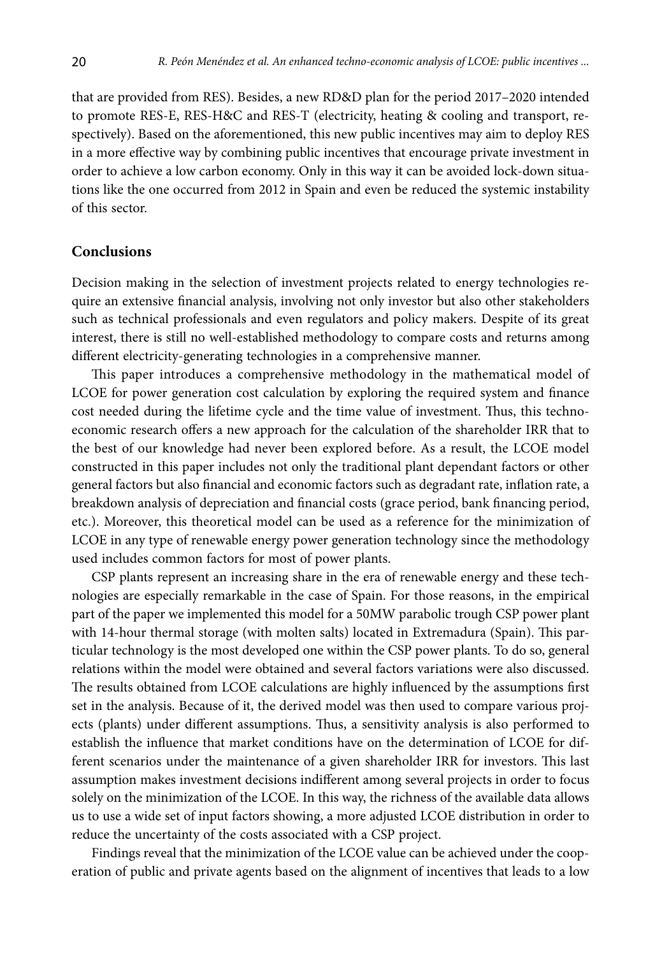that are provided from RES). Besides, a new RD&D plan for the period 2017–2020 intended to promote RES-E, RES-H&C and RES-T (electricity, heating & cooling and transport, respectively). Based on the aforementioned, this new public incentives may aim to deploy RES in a more effective way by combining public incentives that encourage private investment in order to achieve a low carbon economy. Only in this way it can be avoided lock-down situations like the one occurred from 2012 in Spain and even be reduced the systemic instability of this sector.

#### **Conclusions**

Decision making in the selection of investment projects related to energy technologies require an extensive financial analysis, involving not only investor but also other stakeholders such as technical professionals and even regulators and policy makers. Despite of its great interest, there is still no well-established methodology to compare costs and returns among different electricity-generating technologies in a comprehensive manner.

This paper introduces a comprehensive methodology in the mathematical model of LCOE for power generation cost calculation by exploring the required system and finance cost needed during the lifetime cycle and the time value of investment. Thus, this technoeconomic research offers a new approach for the calculation of the shareholder IRR that to the best of our knowledge had never been explored before. As a result, the LCOE model constructed in this paper includes not only the traditional plant dependant factors or other general factors but also financial and economic factors such as degradant rate, inflation rate, a breakdown analysis of depreciation and financial costs (grace period, bank financing period, etc.). Moreover, this theoretical model can be used as a reference for the minimization of LCOE in any type of renewable energy power generation technology since the methodology used includes common factors for most of power plants.

CSP plants represent an increasing share in the era of renewable energy and these technologies are especially remarkable in the case of Spain. For those reasons, in the empirical part of the paper we implemented this model for a 50MW parabolic trough CSP power plant with 14-hour thermal storage (with molten salts) located in Extremadura (Spain). This particular technology is the most developed one within the CSP power plants. To do so, general relations within the model were obtained and several factors variations were also discussed. The results obtained from LCOE calculations are highly influenced by the assumptions first set in the analysis. Because of it, the derived model was then used to compare various projects (plants) under different assumptions. Thus, a sensitivity analysis is also performed to establish the influence that market conditions have on the determination of LCOE for different scenarios under the maintenance of a given shareholder IRR for investors. This last assumption makes investment decisions indifferent among several projects in order to focus solely on the minimization of the LCOE. In this way, the richness of the available data allows us to use a wide set of input factors showing, a more adjusted LCOE distribution in order to reduce the uncertainty of the costs associated with a CSP project.

Findings reveal that the minimization of the LCOE value can be achieved under the cooperation of public and private agents based on the alignment of incentives that leads to a low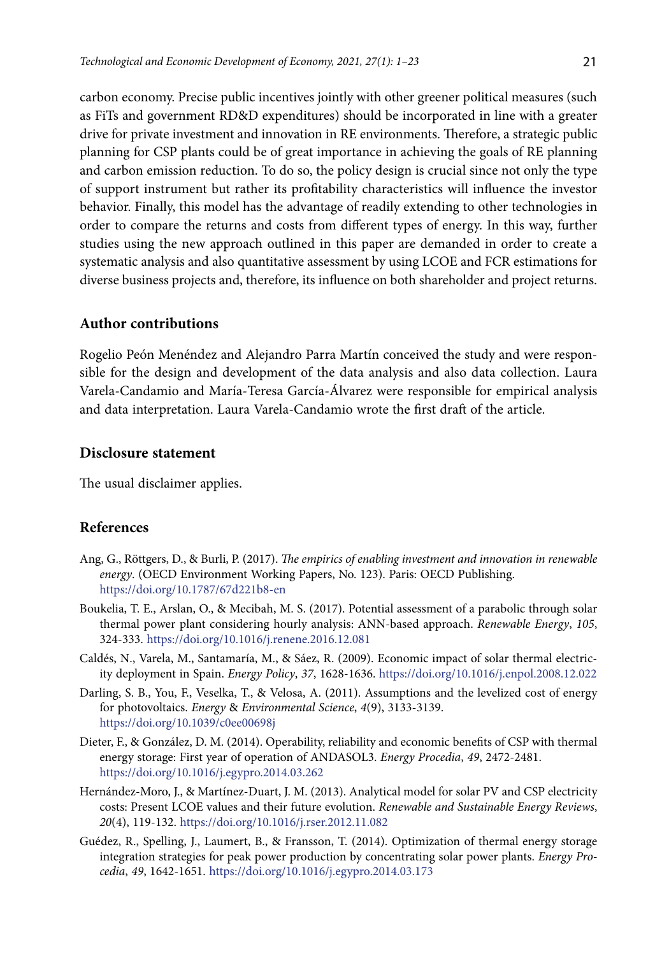carbon economy. Precise public incentives jointly with other greener political measures (such as FiTs and government RD&D expenditures) should be incorporated in line with a greater drive for private investment and innovation in RE environments. Therefore, a strategic public planning for CSP plants could be of great importance in achieving the goals of RE planning and carbon emission reduction. To do so, the policy design is crucial since not only the type of support instrument but rather its profitability characteristics will influence the investor behavior. Finally, this model has the advantage of readily extending to other technologies in order to compare the returns and costs from different types of energy. In this way, further studies using the new approach outlined in this paper are demanded in order to create a systematic analysis and also quantitative assessment by using LCOE and FCR estimations for diverse business projects and, therefore, its influence on both shareholder and project returns.

### **Author contributions**

Rogelio Peón Menéndez and Alejandro Parra Martín conceived the study and were responsible for the design and development of the data analysis and also data collection. Laura Varela-Candamio and María-Teresa García-Álvarez were responsible for empirical analysis and data interpretation. Laura Varela-Candamio wrote the first draft of the article.

#### **Disclosure statement**

The usual disclaimer applies.

## **References**

- Ang, G., Röttgers, D., & Burli, P. (2017). *The empirics of enabling investment and innovation in renewable energy*. (OECD Environment Working Papers, No. 123). Paris: OECD Publishing. <https://doi.org/10.1787/67d221b8-en>
- Boukelia, T. E., Arslan, O., & Mecibah, M. S. (2017). Potential assessment of a parabolic through solar thermal power plant considering hourly analysis: ANN-based approach. *Renewable Energy*, *105*, 324-333.<https://doi.org/10.1016/j.renene.2016.12.081>
- Caldés, N., Varela, M., Santamaría, M., & Sáez, R. (2009). Economic impact of solar thermal electricity deployment in Spain. *Energy Policy*, *37*, 1628-1636. <https://doi.org/10.1016/j.enpol.2008.12.022>
- Darling, S. B., You, F., Veselka, T., & Velosa, A. (2011). Assumptions and the levelized cost of energy for photovoltaics. *Energy* & *Environmental Science*, *4*(9), 3133-3139. <https://doi.org/10.1039/c0ee00698j>
- Dieter, F., & González, D. M. (2014). Operability, reliability and economic benefits of CSP with thermal energy storage: First year of operation of ANDASOL3. *Energy Procedia*, *49*, 2472-2481. <https://doi.org/10.1016/j.egypro.2014.03.262>
- Hernández-Moro, J., & Martínez-Duart, J. M. (2013). Analytical model for solar PV and CSP electricity costs: Present LCOE values and their future evolution. *Renewable and Sustainable Energy Reviews*, *20*(4), 119-132. <https://doi.org/10.1016/j.rser.2012.11.082>
- Guédez, R., Spelling, J., Laumert, B., & Fransson, T. (2014). Optimization of thermal energy storage integration strategies for peak power production by concentrating solar power plants. *Energy Procedia*, *49*, 1642-1651. <https://doi.org/10.1016/j.egypro.2014.03.173>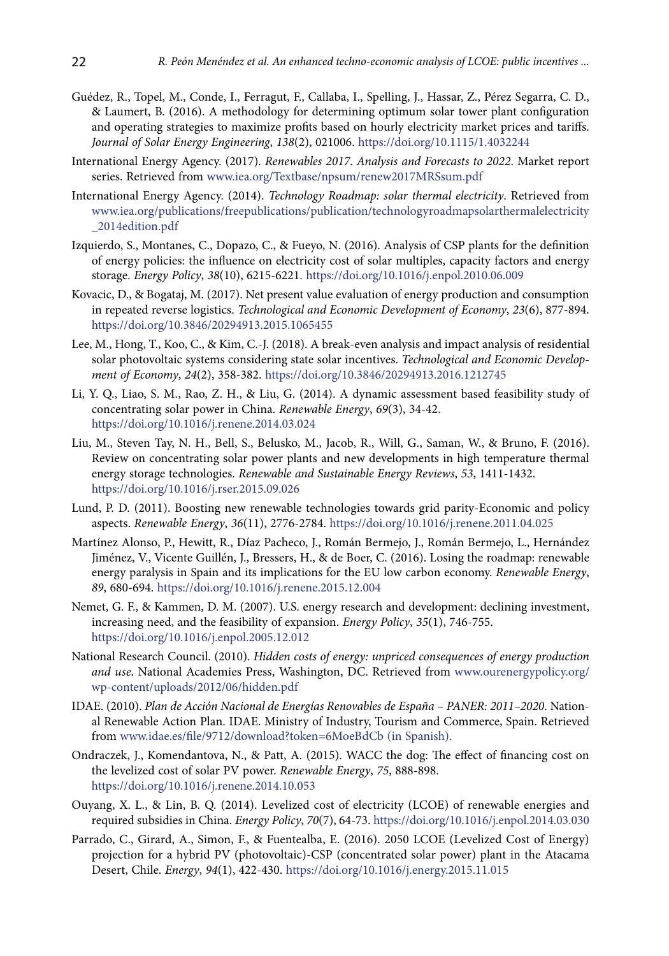- Guédez, R., Topel, M., Conde, I., Ferragut, F., Callaba, I., Spelling, J., Hassar, Z., Pérez Segarra, C. D., & Laumert, B. (2016). A methodology for determining optimum solar tower plant configuration and operating strategies to maximize profits based on hourly electricity market prices and tariffs. *Journal of Solar Energy Engineering*, *138*(2), 021006. https://doi.org/[10.1115/1.4032244](http://dx.doi.org/10.1115/1.4032244)
- International Energy Agency. (2017). *Renewables 2017*. *Analysis and Forecasts to 2022*. Market report series. Retrieved from [www.iea.org/Textbase/npsum/renew2017MRSsum.pdf](http://www.iea.org/Textbase/npsum/renew2017MRSsum.pdf)
- International Energy Agency. (2014). *Technology Roadmap: solar thermal electricity*. Retrieved from [www.iea.org/publications/freepublications/publication/technologyroadmapsolarthermalelectricity](http://www.iea.org/publications/freepublications/publication/technologyroadmapsolarthermalelectricity_2014edition.pdf) [\\_2014edition.pdf](http://www.iea.org/publications/freepublications/publication/technologyroadmapsolarthermalelectricity_2014edition.pdf)
- Izquierdo, S., Montanes, C., Dopazo, C., & Fueyo, N. (2016). Analysis of CSP plants for the definition of energy policies: the influence on electricity cost of solar multiples, capacity factors and energy storage. *Energy Policy*, *38*(10), 6215-6221. <https://doi.org/10.1016/j.enpol.2010.06.009>
- Kovacic, D., & Bogataj, M. (2017). Net present value evaluation of energy production and consumption in repeated reverse logistics. *Technological and Economic Development of Economy*, *23*(6), 877-894. https://doi.org/10.3846/20294913.2015.1065455
- Lee, M., Hong, T., Koo, C., & Kim, C.-J. (2018). A break-even analysis and impact analysis of residential solar photovoltaic systems considering state solar incentives. *Technological and Economic Development of Economy*, *24*(2), 358-382. <https://doi.org/10.3846/20294913.2016.1212745>
- Li, Y. Q., Liao, S. M., Rao, Z. H., & Liu, G. (2014). A dynamic assessment based feasibility study of concentrating solar power in China. *Renewable Energy*, *69*(3), 34-42. <https://doi.org/10.1016/j.renene.2014.03.024>
- Liu, M., Steven Tay, N. H., Bell, S., Belusko, M., Jacob, R., Will, G., Saman, W., & Bruno, F. (2016). Review on concentrating solar power plants and new developments in high temperature thermal energy storage technologies. *Renewable and Sustainable Energy Reviews*, *53*, 1411-1432. <https://doi.org/10.1016/j.rser.2015.09.026>
- Lund, P. D. (2011). Boosting new renewable technologies towards grid parity-Economic and policy aspects. *Renewable Energy*, *36*(11), 2776-2784. <https://doi.org/10.1016/j.renene.2011.04.025>
- Martínez Alonso, P., Hewitt, R., Díaz Pacheco, J., Román Bermejo, J., Román Bermejo, L., Hernández Jiménez, V., Vicente Guillén, J., Bressers, H., & de Boer, C. (2016). Losing the roadmap: renewable energy paralysis in Spain and its implications for the EU low carbon economy. *Renewable Energy*, *89*, 680-694. <https://doi.org/10.1016/j.renene.2015.12.004>
- Nemet, G. F., & Kammen, D. M. (2007). U.S. energy research and development: declining investment, increasing need, and the feasibility of expansion. *Energy Policy*, *35*(1), 746-755. <https://doi.org/10.1016/j.enpol.2005.12.012>
- National Research Council. (2010). *Hidden costs of energy: unpriced consequences of energy production and use*. National Academies Press, Washington, DC. Retrieved from www.ourenergypolicy.org/ wp-content/uploads/2012/06/hidden.pdf
- IDAE. (2010). *Plan de Acción Nacional de Energías Renovables de España PANER: 2011–2020*. National Renewable Action Plan. IDAE. Ministry of Industry, Tourism and Commerce, Spain. Retrieved from [www.idae.es/file/9712/download?token=6MoeBdCb](http://www.idae.es/file/9712/download?token=6MoeBdCb) (in Spanish).
- Ondraczek, J., Komendantova, N., & Patt, A. (2015). WACC the dog: The effect of financing cost on the levelized cost of solar PV power. *Renewable Energy*, *75*, 888-898. <https://doi.org/10.1016/j.renene.2014.10.053>
- Ouyang, X. L., & Lin, B. Q. (2014). Levelized cost of electricity (LCOE) of renewable energies and required subsidies in China. *Energy Policy*, *70*(7), 64-73. <https://doi.org/10.1016/j.enpol.2014.03.030>
- Parrado, C., Girard, A., Simon, F., & Fuentealba, E. (2016). 2050 LCOE (Levelized Cost of Energy) projection for a hybrid PV (photovoltaic)-CSP (concentrated solar power) plant in the Atacama Desert, Chile. *Energy*, *94*(1), 422-430. <https://doi.org/10.1016/j.energy.2015.11.015>